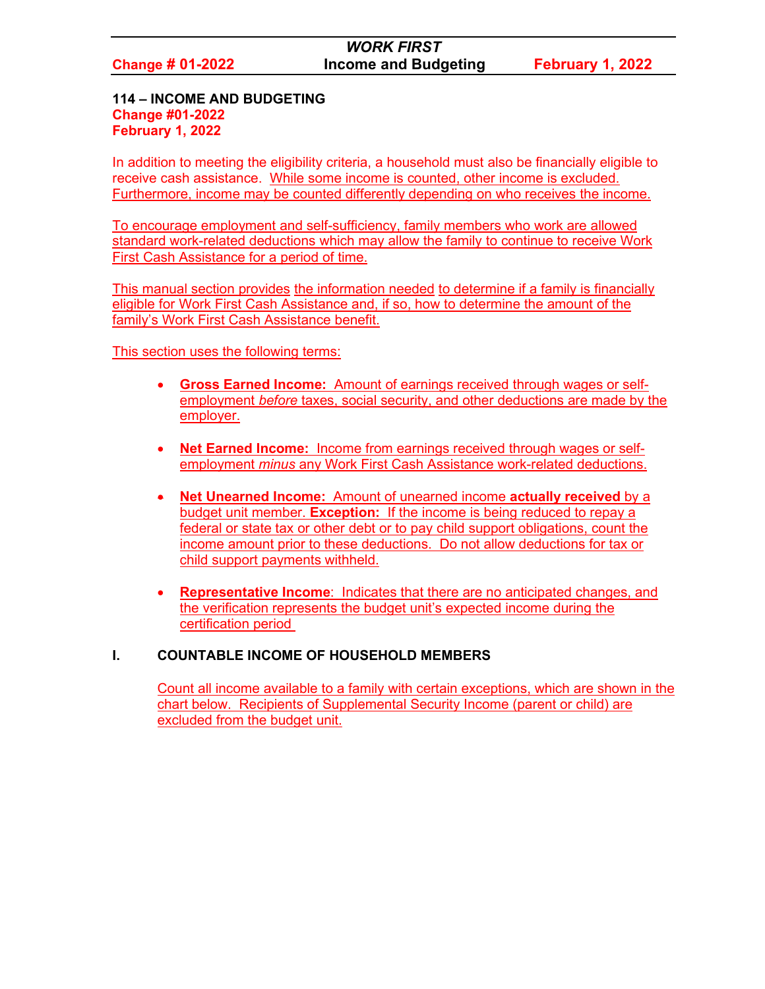#### **114 – INCOME AND BUDGETING Change #01-2022 February 1, 2022**

In addition to meeting the eligibility criteria, a household must also be financially eligible to receive cash assistance. While some income is counted, other income is excluded. Furthermore, income may be counted differently depending on who receives the income.

To encourage employment and self-sufficiency, family members who work are allowed standard work-related deductions which may allow the family to continue to receive Work First Cash Assistance for a period of time.

This manual section provides the information needed to determine if a family is financially eligible for Work First Cash Assistance and, if so, how to determine the amount of the family's Work First Cash Assistance benefit.

This section uses the following terms:

- **Gross Earned Income:** Amount of earnings received through wages or selfemployment *before* taxes, social security, and other deductions are made by the employer.
- **Net Earned Income:** Income from earnings received through wages or selfemployment *minus* any Work First Cash Assistance work-related deductions.
- **Net Unearned Income:** Amount of unearned income **actually received** by a budget unit member. **Exception:** If the income is being reduced to repay a federal or state tax or other debt or to pay child support obligations, count the income amount prior to these deductions. Do not allow deductions for tax or child support payments withheld.
- **Representative Income**: Indicates that there are no anticipated changes, and the verification represents the budget unit's expected income during the certification period

## **I. COUNTABLE INCOME OF HOUSEHOLD MEMBERS**

Count all income available to a family with certain exceptions, which are shown in the chart below. Recipients of Supplemental Security Income (parent or child) are excluded from the budget unit.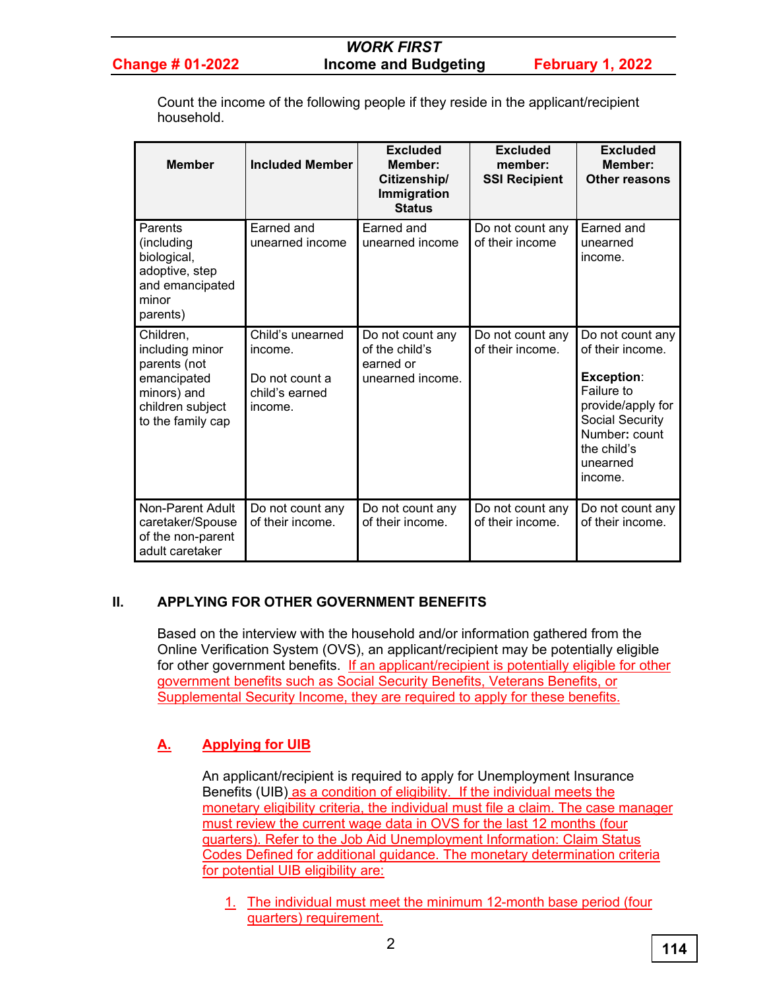Count the income of the following people if they reside in the applicant/recipient household.

| <b>Member</b>                                                                                                       | <b>Included Member</b>                                                     | <b>Excluded</b><br>Member:<br>Citizenship/<br>Immigration<br><b>Status</b> | <b>Excluded</b><br>member:<br><b>SSI Recipient</b> | <b>Excluded</b><br>Member:<br>Other reasons                                                                                                                            |
|---------------------------------------------------------------------------------------------------------------------|----------------------------------------------------------------------------|----------------------------------------------------------------------------|----------------------------------------------------|------------------------------------------------------------------------------------------------------------------------------------------------------------------------|
| Parents<br>(including<br>biological,<br>adoptive, step<br>and emancipated<br>minor<br>parents)                      | Earned and<br>unearned income                                              | Earned and<br>unearned income                                              | Do not count any<br>of their income                | Earned and<br>unearned<br>income.                                                                                                                                      |
| Children,<br>including minor<br>parents (not<br>emancipated<br>minors) and<br>children subject<br>to the family cap | Child's unearned<br>income.<br>Do not count a<br>child's earned<br>income. | Do not count any<br>of the child's<br>earned or<br>unearned income.        | Do not count any<br>of their income.               | Do not count any<br>of their income.<br><b>Exception:</b><br>Failure to<br>provide/apply for<br>Social Security<br>Number: count<br>the child's<br>unearned<br>income. |
| Non-Parent Adult<br>caretaker/Spouse<br>of the non-parent<br>adult caretaker                                        | Do not count any<br>of their income.                                       | Do not count any<br>of their income.                                       | Do not count any<br>of their income.               | Do not count any<br>of their income.                                                                                                                                   |

#### **II. APPLYING FOR OTHER GOVERNMENT BENEFITS**

Based on the interview with the household and/or information gathered from the Online Verification System (OVS), an applicant/recipient may be potentially eligible for other government benefits. If an applicant/recipient is potentially eligible for other government benefits such as Social Security Benefits, Veterans Benefits, or Supplemental Security Income, they are required to apply for these benefits.

# **A. Applying for UIB**

An applicant/recipient is required to apply for Unemployment Insurance Benefits (UIB) as a condition of eligibility. If the individual meets the monetary eligibility criteria, the individual must file a claim. The case manager must review the current wage data in OVS for the last 12 months (four quarters). Refer to the Job Aid Unemployment Information: Claim Status Codes Defined for additional guidance. The monetary determination criteria for potential UIB eligibility are:

1. The individual must meet the minimum 12-month base period (four quarters) requirement.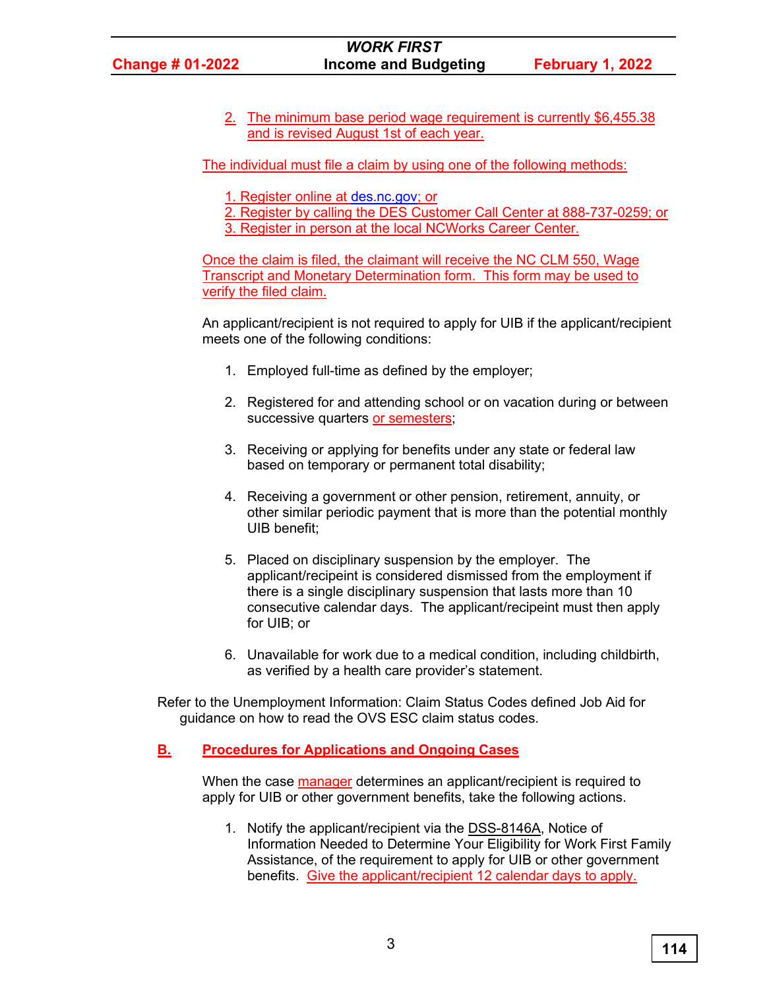2. The minimum base period wage requirement is currently \$6,455.38 and is revised August 1st of each year.

The individual must file a claim by using one of the following methods:

- 1. Register online at des.nc.gov; or
- 2. Register by calling the DES Customer Call Center at 888-737-0259; or
- 3. Register in person at the local NCWorks Career Center.

Once the claim is filed, the claimant will receive the NC CLM 550, Wage Transcript and Monetary Determination form. This form may be used to verify the filed claim.

An applicant/recipient is not required to apply for UIB if the applicant/recipient meets one of the following conditions:

- 1. Employed full-time as defined by the employer;
- 2. Registered for and attending school or on vacation during or between successive quarters or semesters;
- 3. Receiving or applying for benefits under any state or federal law based on temporary or permanent total disability;
- 4. Receiving a government or other pension, retirement, annuity, or other similar periodic payment that is more than the potential monthly UIB benefit;
- 5. Placed on disciplinary suspension by the employer. The applicant/recipeint is considered dismissed from the employment if there is a single disciplinary suspension that lasts more than 10 consecutive calendar days. The applicant/recipeint must then apply for UIB; or
- 6. Unavailable for work due to a medical condition, including childbirth, as verified by a health care provider's statement.

Refer to the Unemployment Information: Claim Status Codes defined Job Aid for guidance on how to read the OVS ESC claim status codes.

## **B. Procedures for Applications and Ongoing Cases**

When the case manager determines an applicant/recipient is required to apply for UIB or other government benefits, take the following actions.

1. Notify the applicant/recipient via the [DSS-8146A,](http://info.dhhs.state.nc.us/olm/forms/dss/dss-8146A-ia.pdf) Notice of Information Needed to Determine Your Eligibility for Work First Family Assistance, of the requirement to apply for UIB or other government benefits. Give the applicant/recipient 12 calendar days to apply.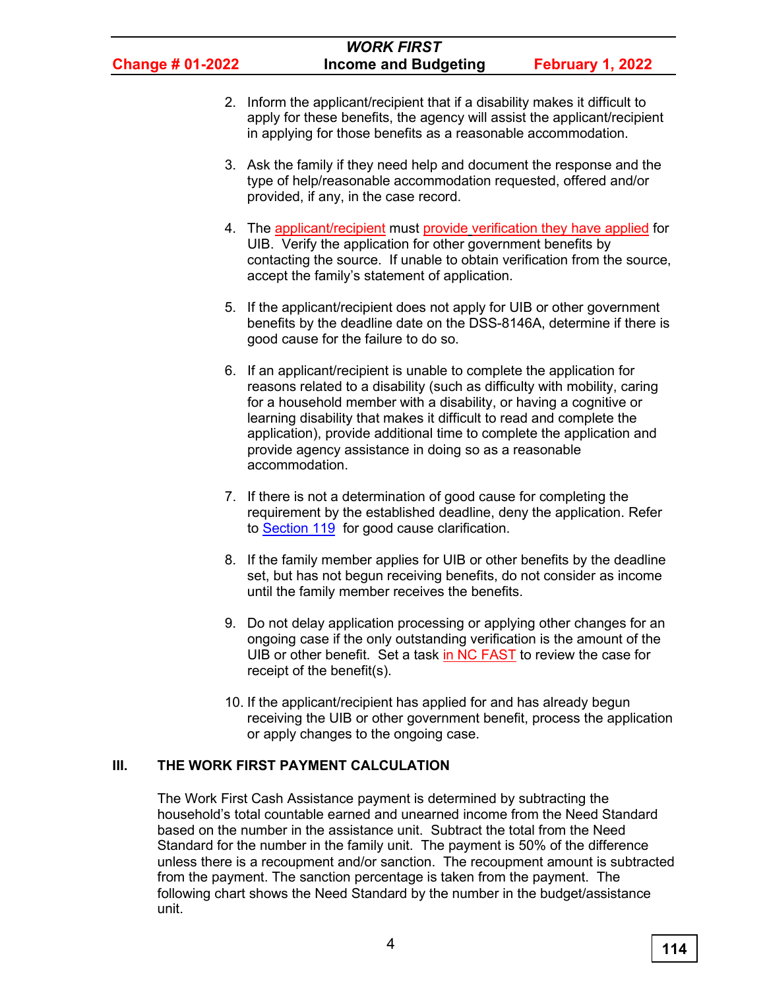# *WORK FIRST* **Income and Budgeting February 1, 2022**

- 2. Inform the applicant/recipient that if a disability makes it difficult to apply for these benefits, the agency will assist the applicant/recipient in applying for those benefits as a reasonable accommodation.
- 3. Ask the family if they need help and document the response and the type of help/reasonable accommodation requested, offered and/or provided, if any, in the case record.
- 4. The applicant/recipient must provide verification they have applied for UIB. Verify the application for other government benefits by contacting the source. If unable to obtain verification from the source, accept the family's statement of application.
- 5. If the applicant/recipient does not apply for UIB or other government benefits by the deadline date on the DSS-8146A, determine if there is good cause for the failure to do so.
- 6. If an applicant/recipient is unable to complete the application for reasons related to a disability (such as difficulty with mobility, caring for a household member with a disability, or having a cognitive or learning disability that makes it difficult to read and complete the application), provide additional time to complete the application and provide agency assistance in doing so as a reasonable accommodation.
- 7. If there is not a determination of good cause for completing the requirement by the established deadline, deny the application. Refer to [Section 119](https://policies.ncdhhs.gov/divisional/social-services/work-first/policy-manuals/wf119.pdf) for good cause clarification.
- 8. If the family member applies for UIB or other benefits by the deadline set, but has not begun receiving benefits, do not consider as income until the family member receives the benefits.
- 9. Do not delay application processing or applying other changes for an ongoing case if the only outstanding verification is the amount of the UIB or other benefit. Set a task in NC FAST to review the case for receipt of the benefit(s).
- 10. If the applicant/recipient has applied for and has already begun receiving the UIB or other government benefit, process the application or apply changes to the ongoing case.

## **III. THE WORK FIRST PAYMENT CALCULATION**

The Work First Cash Assistance payment is determined by subtracting the household's total countable earned and unearned income from the Need Standard based on the number in the assistance unit. Subtract the total from the Need Standard for the number in the family unit. The payment is 50% of the difference unless there is a recoupment and/or sanction. The recoupment amount is subtracted from the payment. The sanction percentage is taken from the payment. The following chart shows the Need Standard by the number in the budget/assistance unit.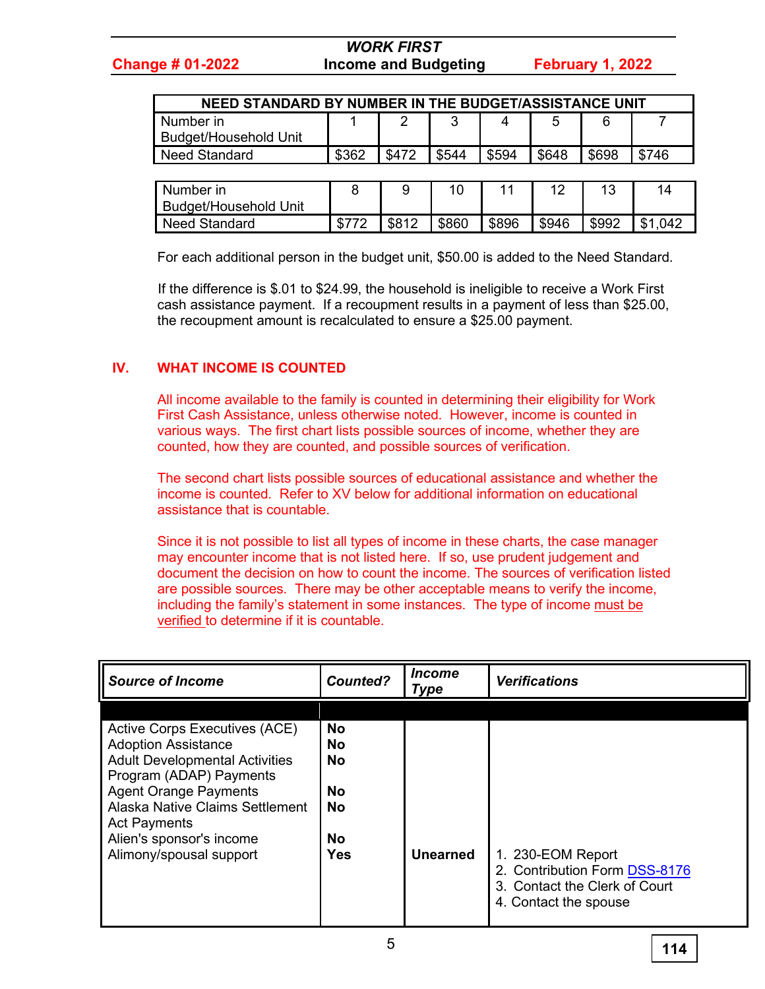| NEED STANDARD BY NUMBER IN THE BUDGET/ASSISTANCE UNIT |       |       |       |       |       |       |       |
|-------------------------------------------------------|-------|-------|-------|-------|-------|-------|-------|
| Number in                                             |       |       |       |       | 5     |       |       |
| Budget/Household Unit                                 |       |       |       |       |       |       |       |
| Need Standard                                         | \$362 | \$472 | \$544 | \$594 | \$648 | \$698 | \$746 |
|                                                       |       |       |       |       |       |       |       |

| Number in<br><b>Budget/Household Unit</b> |             |       | 44    |       | 13    | 14  |
|-------------------------------------------|-------------|-------|-------|-------|-------|-----|
| Need Standard                             | <b>CO10</b> | \$860 | \$896 | \$946 | \$992 | 042 |

For each additional person in the budget unit, \$50.00 is added to the Need Standard.

 If the difference is \$.01 to \$24.99, the household is ineligible to receive a Work First cash assistance payment. If a recoupment results in a payment of less than \$25.00, the recoupment amount is recalculated to ensure a \$25.00 payment.

#### **IV. WHAT INCOME IS COUNTED**

All income available to the family is counted in determining their eligibility for Work First Cash Assistance, unless otherwise noted. However, income is counted in various ways. The first chart lists possible sources of income, whether they are counted, how they are counted, and possible sources of verification.

The second chart lists possible sources of educational assistance and whether the income is counted. Refer to XV below for additional information on educational assistance that is countable.

Since it is not possible to list all types of income in these charts, the case manager may encounter income that is not listed here. If so, use prudent judgement and document the decision on how to count the income. The sources of verification listed are possible sources. There may be other acceptable means to verify the income, including the family's statement in some instances. The type of income must be verified to determine if it is countable.

| <b>Source of Income</b>               | <b>Counted?</b> | <i><b>Income</b></i><br><b>Type</b> | <b>Verifications</b>          |
|---------------------------------------|-----------------|-------------------------------------|-------------------------------|
|                                       |                 |                                     |                               |
| Active Corps Executives (ACE)         | <b>No</b>       |                                     |                               |
| <b>Adoption Assistance</b>            | <b>No</b>       |                                     |                               |
| <b>Adult Developmental Activities</b> | No.             |                                     |                               |
| Program (ADAP) Payments               |                 |                                     |                               |
| <b>Agent Orange Payments</b>          | No.             |                                     |                               |
| Alaska Native Claims Settlement       | No.             |                                     |                               |
| <b>Act Payments</b>                   |                 |                                     |                               |
| Alien's sponsor's income              | No.             |                                     |                               |
| Alimony/spousal support               | Yes             | <b>Unearned</b>                     | 1. 230-EOM Report             |
|                                       |                 |                                     | 2. Contribution Form DSS-8176 |
|                                       |                 |                                     | 3. Contact the Clerk of Court |
|                                       |                 |                                     | 4. Contact the spouse         |
|                                       |                 |                                     |                               |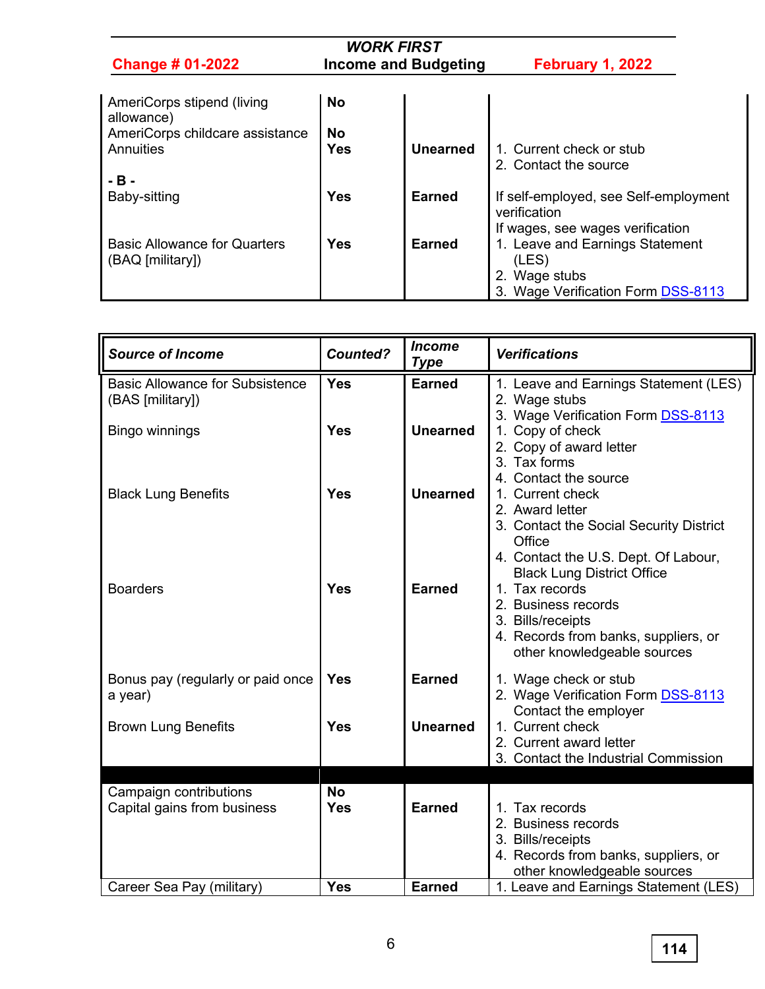| <b>WORK FIRST</b>                                       |                             |                 |                                                     |  |  |  |
|---------------------------------------------------------|-----------------------------|-----------------|-----------------------------------------------------|--|--|--|
| <b>Change # 01-2022</b>                                 | <b>Income and Budgeting</b> |                 | February 1, 2022                                    |  |  |  |
| AmeriCorps stipend (living<br>allowance)                | <b>No</b>                   |                 |                                                     |  |  |  |
| AmeriCorps childcare assistance<br>Annuities            | <b>No</b><br><b>Yes</b>     | <b>Unearned</b> | 1. Current check or stub<br>2. Contact the source   |  |  |  |
| $-B -$<br>Baby-sitting                                  | <b>Yes</b>                  | <b>Earned</b>   | If self-employed, see Self-employment               |  |  |  |
|                                                         |                             |                 | verification<br>If wages, see wages verification    |  |  |  |
| <b>Basic Allowance for Quarters</b><br>(BAQ [military]) | <b>Yes</b>                  | <b>Earned</b>   | 1. Leave and Earnings Statement<br>(LES)            |  |  |  |
|                                                         |                             |                 | 2. Wage stubs<br>3. Wage Verification Form DSS-8113 |  |  |  |

| <b>Source of Income</b>                | <b>Counted?</b> | <b>Income</b><br><b>Type</b> | <b>Verifications</b>                                            |
|----------------------------------------|-----------------|------------------------------|-----------------------------------------------------------------|
| <b>Basic Allowance for Subsistence</b> | <b>Yes</b>      | <b>Earned</b>                | 1. Leave and Earnings Statement (LES)                           |
| (BAS [military])                       |                 |                              | 2. Wage stubs                                                   |
|                                        |                 |                              | 3. Wage Verification Form DSS-8113                              |
| <b>Bingo winnings</b>                  | <b>Yes</b>      | <b>Unearned</b>              | 1. Copy of check<br>2. Copy of award letter                     |
|                                        |                 |                              | 3. Tax forms                                                    |
|                                        |                 |                              | 4. Contact the source                                           |
| <b>Black Lung Benefits</b>             | <b>Yes</b>      | <b>Unearned</b>              | 1. Current check                                                |
|                                        |                 |                              | 2. Award letter                                                 |
|                                        |                 |                              | 3. Contact the Social Security District                         |
|                                        |                 |                              | Office                                                          |
|                                        |                 |                              | 4. Contact the U.S. Dept. Of Labour,                            |
|                                        |                 |                              | <b>Black Lung District Office</b>                               |
| <b>Boarders</b>                        | <b>Yes</b>      | <b>Earned</b>                | 1. Tax records                                                  |
|                                        |                 |                              | 2. Business records                                             |
|                                        |                 |                              | 3. Bills/receipts<br>4. Records from banks, suppliers, or       |
|                                        |                 |                              | other knowledgeable sources                                     |
|                                        |                 |                              |                                                                 |
| Bonus pay (regularly or paid once      | <b>Yes</b>      | <b>Earned</b>                | 1. Wage check or stub                                           |
| a year)                                |                 |                              | 2. Wage Verification Form DSS-8113                              |
|                                        |                 |                              | Contact the employer                                            |
| <b>Brown Lung Benefits</b>             | <b>Yes</b>      | <b>Unearned</b>              | 1. Current check                                                |
|                                        |                 |                              | 2. Current award letter<br>3. Contact the Industrial Commission |
|                                        |                 |                              |                                                                 |
| Campaign contributions                 | <b>No</b>       |                              |                                                                 |
| Capital gains from business            | <b>Yes</b>      | <b>Earned</b>                | 1. Tax records                                                  |
|                                        |                 |                              | 2. Business records                                             |
|                                        |                 |                              | 3. Bills/receipts                                               |
|                                        |                 |                              | 4. Records from banks, suppliers, or                            |
|                                        |                 |                              | other knowledgeable sources                                     |
| Career Sea Pay (military)              | <b>Yes</b>      | <b>Earned</b>                | 1. Leave and Earnings Statement (LES)                           |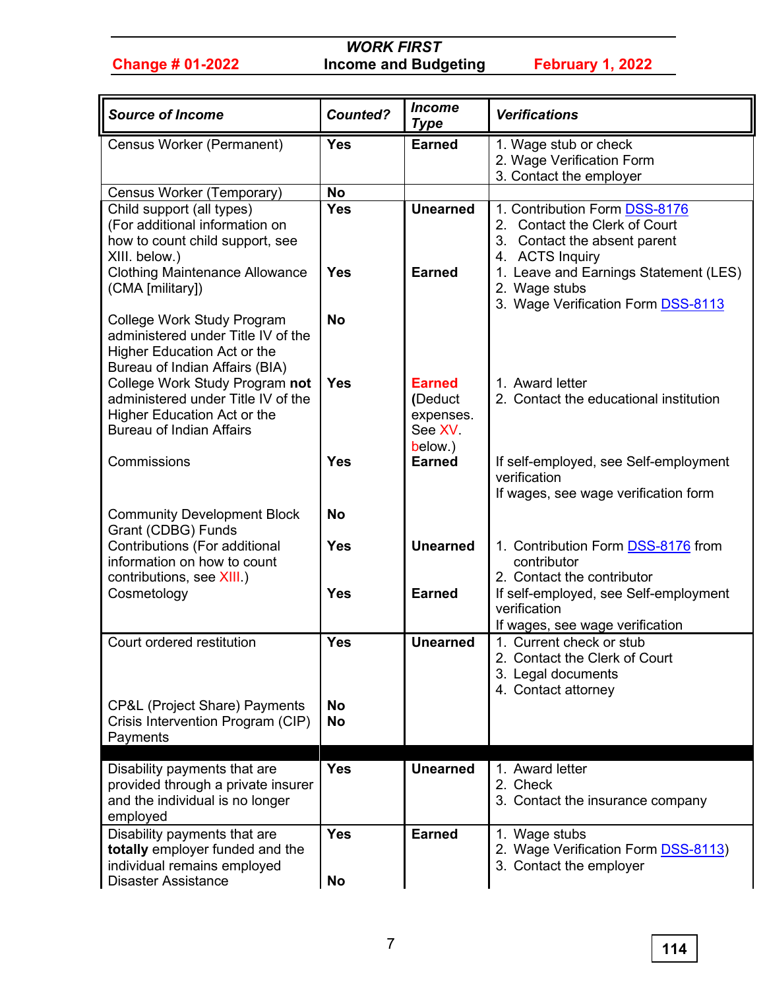| <b>Source of Income</b>                                                                                                                                                      | <b>Counted?</b>          | <b>Income</b><br><b>Type</b>                                | <b>Verifications</b>                                                                                                                                                        |
|------------------------------------------------------------------------------------------------------------------------------------------------------------------------------|--------------------------|-------------------------------------------------------------|-----------------------------------------------------------------------------------------------------------------------------------------------------------------------------|
| <b>Census Worker (Permanent)</b>                                                                                                                                             | <b>Yes</b>               | Earned                                                      | 1. Wage stub or check<br>2. Wage Verification Form<br>3. Contact the employer                                                                                               |
| Census Worker (Temporary)                                                                                                                                                    | <b>No</b>                |                                                             |                                                                                                                                                                             |
| Child support (all types)<br>(For additional information on<br>how to count child support, see<br>XIII. below.)<br><b>Clothing Maintenance Allowance</b><br>(CMA [military]) | <b>Yes</b><br><b>Yes</b> | <b>Unearned</b><br><b>Earned</b>                            | 1. Contribution Form DSS-8176<br>2. Contact the Clerk of Court<br>3. Contact the absent parent<br>4. ACTS Inquiry<br>1. Leave and Earnings Statement (LES)<br>2. Wage stubs |
| College Work Study Program<br>administered under Title IV of the<br>Higher Education Act or the<br>Bureau of Indian Affairs (BIA)                                            | <b>No</b>                |                                                             | 3. Wage Verification Form DSS-8113                                                                                                                                          |
| College Work Study Program not<br>administered under Title IV of the<br>Higher Education Act or the<br><b>Bureau of Indian Affairs</b>                                       | <b>Yes</b>               | <b>Earned</b><br>(Deduct<br>expenses.<br>See XV.<br>below.) | 1. Award letter<br>2. Contact the educational institution                                                                                                                   |
| Commissions                                                                                                                                                                  | <b>Yes</b>               | <b>Earned</b>                                               | If self-employed, see Self-employment<br>verification<br>If wages, see wage verification form                                                                               |
| <b>Community Development Block</b><br>Grant (CDBG) Funds                                                                                                                     | <b>No</b>                |                                                             |                                                                                                                                                                             |
| Contributions (For additional<br>information on how to count<br>contributions, see XIII.)                                                                                    | <b>Yes</b>               | <b>Unearned</b>                                             | 1. Contribution Form <b>DSS-8176</b> from<br>contributor<br>2. Contact the contributor                                                                                      |
| Cosmetology                                                                                                                                                                  | <b>Yes</b>               | <b>Earned</b>                                               | If self-employed, see Self-employment<br>verification<br>If wages, see wage verification                                                                                    |
| Court ordered restitution                                                                                                                                                    | <b>Yes</b>               | <b>Unearned</b>                                             | 1. Current check or stub<br>2. Contact the Clerk of Court<br>3. Legal documents<br>4. Contact attorney                                                                      |
| <b>CP&amp;L (Project Share) Payments</b><br>Crisis Intervention Program (CIP)<br>Payments                                                                                    | <b>No</b><br><b>No</b>   |                                                             |                                                                                                                                                                             |
| Disability payments that are<br>provided through a private insurer<br>and the individual is no longer<br>employed                                                            | <b>Yes</b>               | <b>Unearned</b>                                             | 1. Award letter<br>2. Check<br>3. Contact the insurance company                                                                                                             |
| Disability payments that are<br>totally employer funded and the<br>individual remains employed<br><b>Disaster Assistance</b>                                                 | <b>Yes</b><br><b>No</b>  | <b>Earned</b>                                               | 1. Wage stubs<br>2. Wage Verification Form <b>DSS-8113</b> )<br>3. Contact the employer                                                                                     |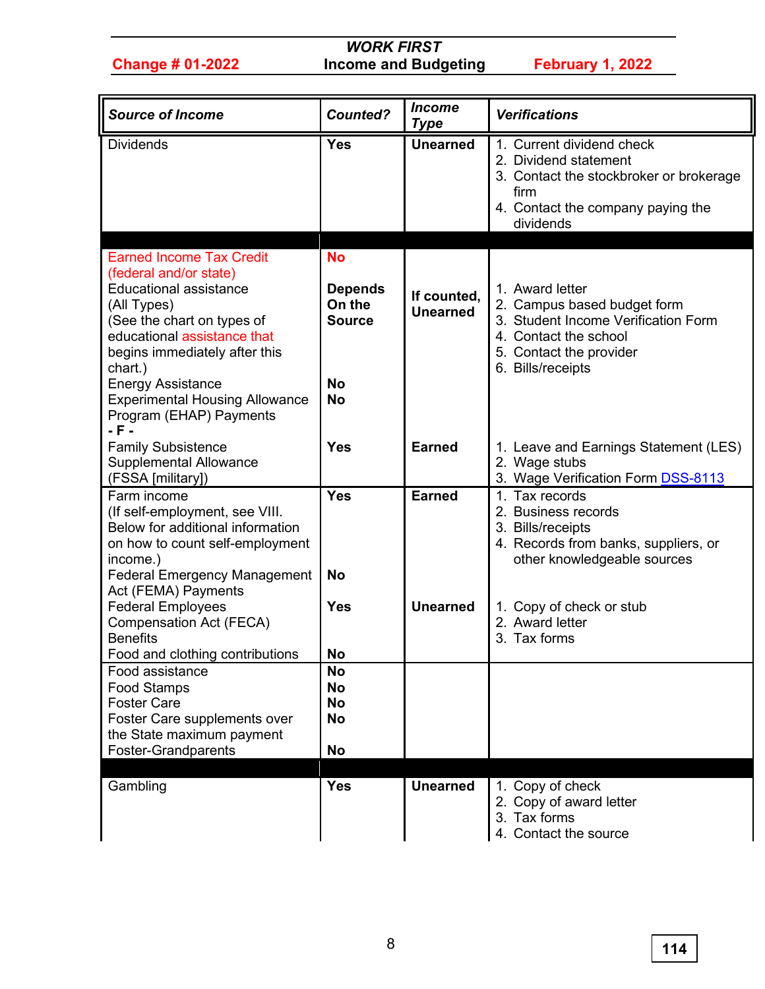| <b>Source of Income</b>                                                                                                                                                                                                                                                                                                      | <b>Counted?</b>                                                                  | <b>Income</b><br><b>Type</b>     | <b>Verifications</b>                                                                                                                                           |
|------------------------------------------------------------------------------------------------------------------------------------------------------------------------------------------------------------------------------------------------------------------------------------------------------------------------------|----------------------------------------------------------------------------------|----------------------------------|----------------------------------------------------------------------------------------------------------------------------------------------------------------|
| <b>Dividends</b>                                                                                                                                                                                                                                                                                                             | <b>Yes</b>                                                                       | <b>Unearned</b>                  | 1. Current dividend check<br>2. Dividend statement<br>3. Contact the stockbroker or brokerage<br>firm<br>4. Contact the company paying the<br>dividends        |
| <b>Earned Income Tax Credit</b><br>(federal and/or state)<br><b>Educational assistance</b><br>(All Types)<br>(See the chart on types of<br>educational assistance that<br>begins immediately after this<br>chart.)<br><b>Energy Assistance</b><br><b>Experimental Housing Allowance</b><br>Program (EHAP) Payments<br>$-F -$ | <b>No</b><br><b>Depends</b><br>On the<br><b>Source</b><br><b>No</b><br><b>No</b> | If counted,<br><b>Unearned</b>   | 1. Award letter<br>2. Campus based budget form<br>3. Student Income Verification Form<br>4. Contact the school<br>5. Contact the provider<br>6. Bills/receipts |
| <b>Family Subsistence</b><br><b>Supplemental Allowance</b><br>(FSSA [military])                                                                                                                                                                                                                                              | <b>Yes</b>                                                                       | <b>Earned</b>                    | 1. Leave and Earnings Statement (LES)<br>2. Wage stubs<br>3. Wage Verification Form DSS-8113                                                                   |
| Farm income<br>(If self-employment, see VIII.<br>Below for additional information<br>on how to count self-employment<br>income.)<br><b>Federal Emergency Management</b><br>Act (FEMA) Payments                                                                                                                               | <b>Yes</b><br><b>No</b><br><b>Yes</b>                                            | <b>Earned</b><br><b>Unearned</b> | 1. Tax records<br>2. Business records<br>3. Bills/receipts<br>4. Records from banks, suppliers, or<br>other knowledgeable sources                              |
| <b>Federal Employees</b><br>Compensation Act (FECA)<br><b>Benefits</b><br>Food and clothing contributions                                                                                                                                                                                                                    | <b>No</b>                                                                        |                                  | 1. Copy of check or stub<br>2. Award letter<br>3. Tax forms                                                                                                    |
| Food assistance<br>Food Stamps<br><b>Foster Care</b><br>Foster Care supplements over<br>the State maximum payment<br><b>Foster-Grandparents</b>                                                                                                                                                                              | <b>No</b><br><b>No</b><br><b>No</b><br><b>No</b><br><b>No</b>                    |                                  |                                                                                                                                                                |
| Gambling                                                                                                                                                                                                                                                                                                                     | <b>Yes</b>                                                                       | <b>Unearned</b>                  | 1. Copy of check<br>2. Copy of award letter<br>3. Tax forms<br>4. Contact the source                                                                           |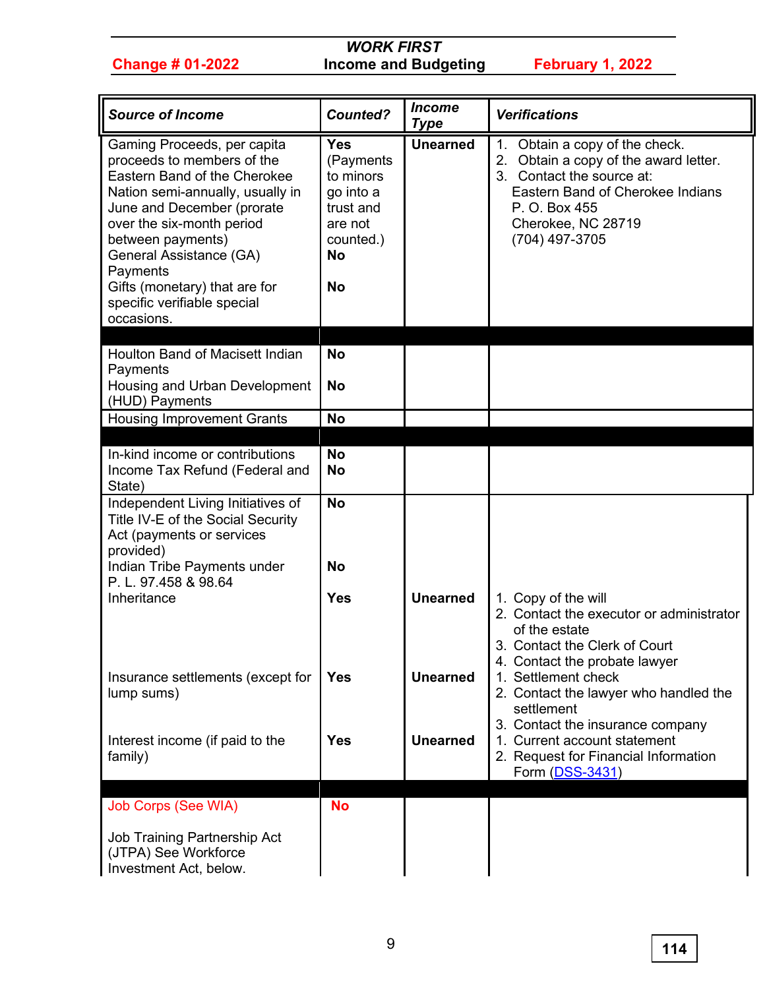| <b>Source of Income</b>                                                                                                                                                                                                                                                                                                            | <b>Counted?</b>                                                                                                  | <b>Income</b><br><b>Type</b> | <b>Verifications</b>                                                                                                                                                                                    |
|------------------------------------------------------------------------------------------------------------------------------------------------------------------------------------------------------------------------------------------------------------------------------------------------------------------------------------|------------------------------------------------------------------------------------------------------------------|------------------------------|---------------------------------------------------------------------------------------------------------------------------------------------------------------------------------------------------------|
| Gaming Proceeds, per capita<br>proceeds to members of the<br>Eastern Band of the Cherokee<br>Nation semi-annually, usually in<br>June and December (prorate<br>over the six-month period<br>between payments)<br>General Assistance (GA)<br>Payments<br>Gifts (monetary) that are for<br>specific verifiable special<br>occasions. | <b>Yes</b><br>(Payments<br>to minors<br>go into a<br>trust and<br>are not<br>counted.)<br><b>No</b><br><b>No</b> | <b>Unearned</b>              | Obtain a copy of the check.<br>1.<br>Obtain a copy of the award letter.<br>2.<br>3. Contact the source at:<br>Eastern Band of Cherokee Indians<br>P. O. Box 455<br>Cherokee, NC 28719<br>(704) 497-3705 |
| <b>Houlton Band of Macisett Indian</b>                                                                                                                                                                                                                                                                                             | <b>No</b>                                                                                                        |                              |                                                                                                                                                                                                         |
| Payments                                                                                                                                                                                                                                                                                                                           |                                                                                                                  |                              |                                                                                                                                                                                                         |
| Housing and Urban Development<br>(HUD) Payments                                                                                                                                                                                                                                                                                    | <b>No</b>                                                                                                        |                              |                                                                                                                                                                                                         |
| <b>Housing Improvement Grants</b>                                                                                                                                                                                                                                                                                                  | <b>No</b>                                                                                                        |                              |                                                                                                                                                                                                         |
| In-kind income or contributions                                                                                                                                                                                                                                                                                                    | <b>No</b>                                                                                                        |                              |                                                                                                                                                                                                         |
| Income Tax Refund (Federal and                                                                                                                                                                                                                                                                                                     | <b>No</b>                                                                                                        |                              |                                                                                                                                                                                                         |
| State)                                                                                                                                                                                                                                                                                                                             |                                                                                                                  |                              |                                                                                                                                                                                                         |
| Independent Living Initiatives of<br>Title IV-E of the Social Security<br>Act (payments or services<br>provided)<br>Indian Tribe Payments under                                                                                                                                                                                    | <b>No</b><br><b>No</b>                                                                                           |                              |                                                                                                                                                                                                         |
| P. L. 97.458 & 98.64                                                                                                                                                                                                                                                                                                               |                                                                                                                  |                              |                                                                                                                                                                                                         |
| Inheritance                                                                                                                                                                                                                                                                                                                        | <b>Yes</b>                                                                                                       | <b>Unearned</b>              | 1. Copy of the will<br>2. Contact the executor or administrator<br>of the estate<br>3. Contact the Clerk of Court<br>4. Contact the probate lawyer                                                      |
| Insurance settlements (except for<br>lump sums)                                                                                                                                                                                                                                                                                    | <b>Yes</b>                                                                                                       | <b>Unearned</b>              | 1. Settlement check<br>2. Contact the lawyer who handled the<br>settlement<br>3. Contact the insurance company                                                                                          |
| Interest income (if paid to the<br>family)                                                                                                                                                                                                                                                                                         | <b>Yes</b>                                                                                                       | <b>Unearned</b>              | 1. Current account statement<br>2. Request for Financial Information<br>Form (DSS-3431)                                                                                                                 |
| <b>Job Corps (See WIA)</b>                                                                                                                                                                                                                                                                                                         | <b>No</b>                                                                                                        |                              |                                                                                                                                                                                                         |
| Job Training Partnership Act<br>(JTPA) See Workforce<br>Investment Act, below.                                                                                                                                                                                                                                                     |                                                                                                                  |                              |                                                                                                                                                                                                         |

9 **114**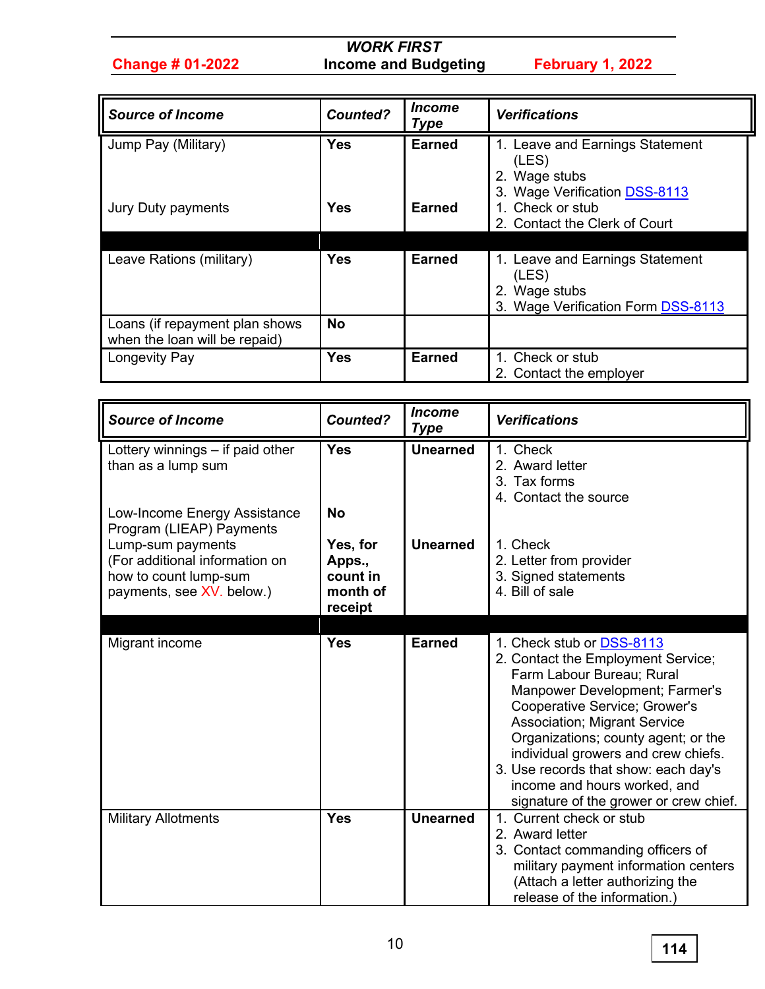| <b>Source of Income</b>        | <b>Counted?</b> | Income<br>Type | <b>Verifications</b>               |
|--------------------------------|-----------------|----------------|------------------------------------|
| Jump Pay (Military)            | <b>Yes</b>      | <b>Earned</b>  | 1. Leave and Earnings Statement    |
|                                |                 |                | (LES)                              |
|                                |                 |                | 2. Wage stubs                      |
|                                |                 |                | 3. Wage Verification DSS-8113      |
| Jury Duty payments             | <b>Yes</b>      | Earned         | 1. Check or stub                   |
|                                |                 |                | 2. Contact the Clerk of Court      |
|                                |                 |                |                                    |
| Leave Rations (military)       | <b>Yes</b>      | <b>Earned</b>  | 1. Leave and Earnings Statement    |
|                                |                 |                | (LES)                              |
|                                |                 |                | 2. Wage stubs                      |
|                                |                 |                | 3. Wage Verification Form DSS-8113 |
| Loans (if repayment plan shows | <b>No</b>       |                |                                    |
| when the loan will be repaid)  |                 |                |                                    |
| Longevity Pay                  | <b>Yes</b>      | <b>Earned</b>  | 1. Check or stub                   |
|                                |                 |                | 2. Contact the employer            |

| <b>Source of Income</b>                                                                                                               | <b>Counted?</b>                                       | <b>Income</b><br><b>Type</b> | <b>Verifications</b>                                                                                                                                                                                                                                                                                                                                                                                          |
|---------------------------------------------------------------------------------------------------------------------------------------|-------------------------------------------------------|------------------------------|---------------------------------------------------------------------------------------------------------------------------------------------------------------------------------------------------------------------------------------------------------------------------------------------------------------------------------------------------------------------------------------------------------------|
| Lottery winnings $-$ if paid other<br>than as a lump sum<br>Low-Income Energy Assistance                                              | <b>Yes</b><br><b>No</b>                               | <b>Unearned</b>              | 1. Check<br>2. Award letter<br>3. Tax forms<br>4. Contact the source                                                                                                                                                                                                                                                                                                                                          |
| Program (LIEAP) Payments<br>Lump-sum payments<br>(For additional information on<br>how to count lump-sum<br>payments, see XV. below.) | Yes, for<br>Apps.,<br>count in<br>month of<br>receipt | <b>Unearned</b>              | 1. Check<br>2. Letter from provider<br>3. Signed statements<br>4. Bill of sale                                                                                                                                                                                                                                                                                                                                |
| Migrant income                                                                                                                        | <b>Yes</b>                                            | <b>Earned</b>                | 1. Check stub or DSS-8113<br>2. Contact the Employment Service;<br>Farm Labour Bureau; Rural<br>Manpower Development; Farmer's<br><b>Cooperative Service; Grower's</b><br><b>Association; Migrant Service</b><br>Organizations; county agent; or the<br>individual growers and crew chiefs.<br>3. Use records that show: each day's<br>income and hours worked, and<br>signature of the grower or crew chief. |
| <b>Military Allotments</b>                                                                                                            | <b>Yes</b>                                            | <b>Unearned</b>              | 1. Current check or stub<br>2. Award letter<br>3. Contact commanding officers of<br>military payment information centers<br>(Attach a letter authorizing the<br>release of the information.)                                                                                                                                                                                                                  |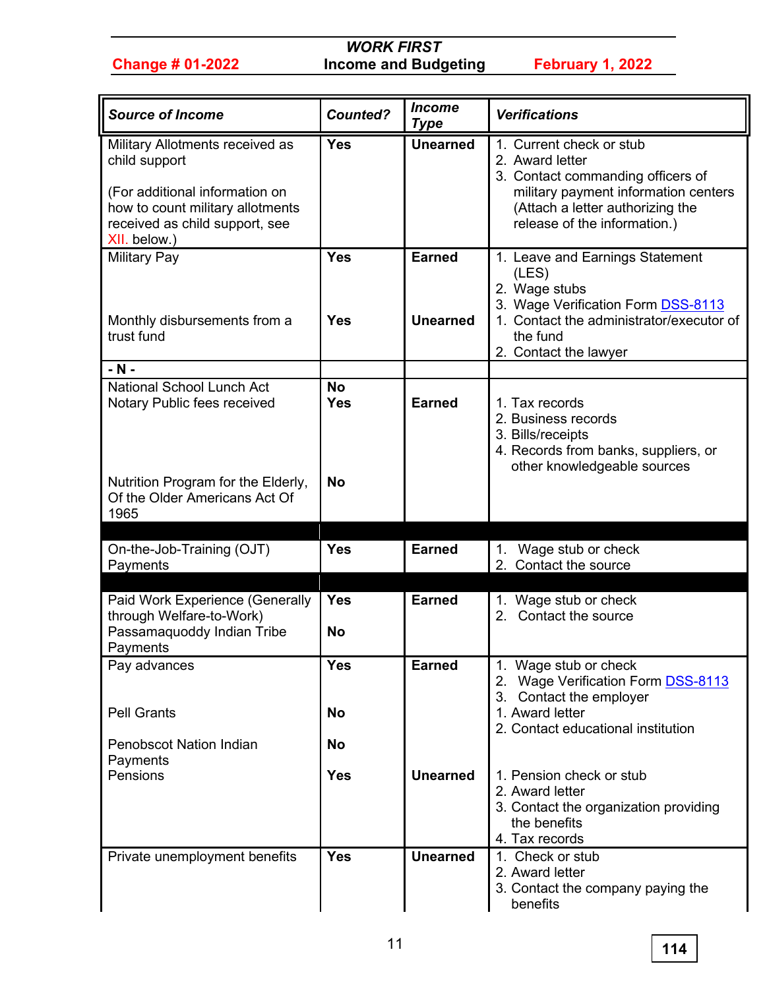| <b>Source of Income</b>                                                                                                                                                  | <b>Counted?</b>          | <b>Income</b><br><b>Type</b>     | <b>Verifications</b>                                                                                                                                                                         |
|--------------------------------------------------------------------------------------------------------------------------------------------------------------------------|--------------------------|----------------------------------|----------------------------------------------------------------------------------------------------------------------------------------------------------------------------------------------|
| Military Allotments received as<br>child support<br>(For additional information on<br>how to count military allotments<br>received as child support, see<br>XII. below.) | <b>Yes</b>               | <b>Unearned</b>                  | 1. Current check or stub<br>2. Award letter<br>3. Contact commanding officers of<br>military payment information centers<br>(Attach a letter authorizing the<br>release of the information.) |
| <b>Military Pay</b><br>Monthly disbursements from a<br>trust fund                                                                                                        | <b>Yes</b><br><b>Yes</b> | <b>Earned</b><br><b>Unearned</b> | 1. Leave and Earnings Statement<br>(LES)<br>2. Wage stubs<br>3. Wage Verification Form DSS-8113<br>1. Contact the administrator/executor of<br>the fund<br>2. Contact the lawyer             |
| $- N -$<br>National School Lunch Act<br>Notary Public fees received                                                                                                      | <b>No</b><br><b>Yes</b>  | <b>Earned</b>                    | 1. Tax records<br>2. Business records<br>3. Bills/receipts<br>4. Records from banks, suppliers, or<br>other knowledgeable sources                                                            |
| Nutrition Program for the Elderly,<br>Of the Older Americans Act Of<br>1965                                                                                              | <b>No</b>                |                                  |                                                                                                                                                                                              |
| On-the-Job-Training (OJT)<br>Payments                                                                                                                                    | <b>Yes</b>               | <b>Earned</b>                    | 1. Wage stub or check<br>2. Contact the source                                                                                                                                               |
| Paid Work Experience (Generally<br>through Welfare-to-Work)<br>Passamaquoddy Indian Tribe<br>Payments                                                                    | <b>Yes</b><br><b>No</b>  | <b>Earned</b>                    | 1. Wage stub or check<br>2. Contact the source                                                                                                                                               |
| Pay advances<br><b>Pell Grants</b>                                                                                                                                       | <b>Yes</b><br><b>No</b>  | <b>Earned</b>                    | 1. Wage stub or check<br>Wage Verification Form DSS-8113<br>Contact the employer<br>3.<br>1. Award letter                                                                                    |
| <b>Penobscot Nation Indian</b><br>Payments                                                                                                                               | No                       |                                  | 2. Contact educational institution                                                                                                                                                           |
| Pensions                                                                                                                                                                 | <b>Yes</b>               | <b>Unearned</b>                  | 1. Pension check or stub<br>2. Award letter<br>3. Contact the organization providing<br>the benefits<br>4. Tax records                                                                       |
| Private unemployment benefits                                                                                                                                            | <b>Yes</b>               | <b>Unearned</b>                  | 1. Check or stub<br>2. Award letter<br>3. Contact the company paying the<br>benefits                                                                                                         |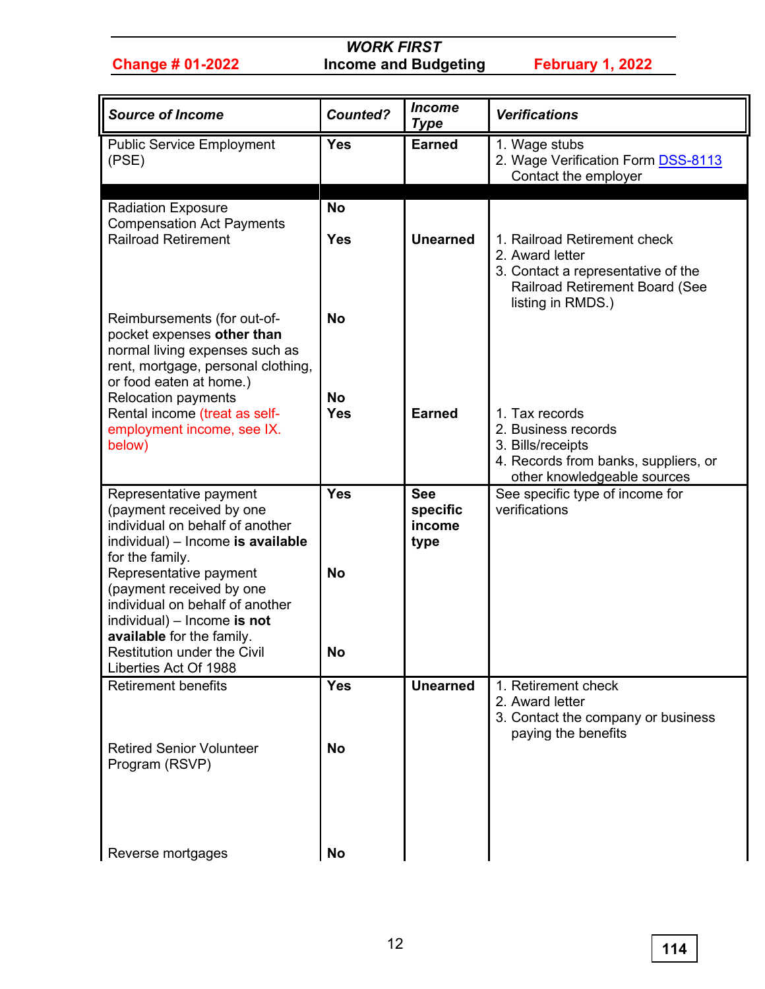| <b>Source of Income</b>                                                                                                                                                                                                                                                                                                                                    | <b>Counted?</b>                      | <b>Income</b><br><b>Type</b>             | <b>Verifications</b>                                                                                                                         |
|------------------------------------------------------------------------------------------------------------------------------------------------------------------------------------------------------------------------------------------------------------------------------------------------------------------------------------------------------------|--------------------------------------|------------------------------------------|----------------------------------------------------------------------------------------------------------------------------------------------|
| <b>Public Service Employment</b><br>(PSE)                                                                                                                                                                                                                                                                                                                  | <b>Yes</b>                           | <b>Earned</b>                            | 1. Wage stubs<br>2. Wage Verification Form DSS-8113<br>Contact the employer                                                                  |
| <b>Radiation Exposure</b><br><b>Compensation Act Payments</b><br><b>Railroad Retirement</b>                                                                                                                                                                                                                                                                | <b>No</b><br><b>Yes</b>              | <b>Unearned</b>                          | 1. Railroad Retirement check<br>2. Award letter<br>3. Contact a representative of the<br>Railroad Retirement Board (See<br>listing in RMDS.) |
| Reimbursements (for out-of-<br>pocket expenses other than<br>normal living expenses such as<br>rent, mortgage, personal clothing,<br>or food eaten at home.)<br><b>Relocation payments</b><br>Rental income (treat as self-<br>employment income, see IX.<br>below)                                                                                        | <b>No</b><br><b>No</b><br><b>Yes</b> | <b>Earned</b>                            | 1. Tax records<br>2. Business records<br>3. Bills/receipts<br>4. Records from banks, suppliers, or<br>other knowledgeable sources            |
| Representative payment<br>(payment received by one<br>individual on behalf of another<br>individual) - Income is available<br>for the family.<br>Representative payment<br>(payment received by one<br>individual on behalf of another<br>individual) - Income is not<br>available for the family.<br>Restitution under the Civil<br>Liberties Act Of 1988 | <b>Yes</b><br><b>No</b><br>No        | <b>See</b><br>specific<br>income<br>type | See specific type of income for<br>verifications                                                                                             |
| <b>Retirement benefits</b><br><b>Retired Senior Volunteer</b><br>Program (RSVP)                                                                                                                                                                                                                                                                            | <b>Yes</b><br><b>No</b>              | <b>Unearned</b>                          | 1. Retirement check<br>2. Award letter<br>3. Contact the company or business<br>paying the benefits                                          |
| Reverse mortgages                                                                                                                                                                                                                                                                                                                                          | <b>No</b>                            |                                          |                                                                                                                                              |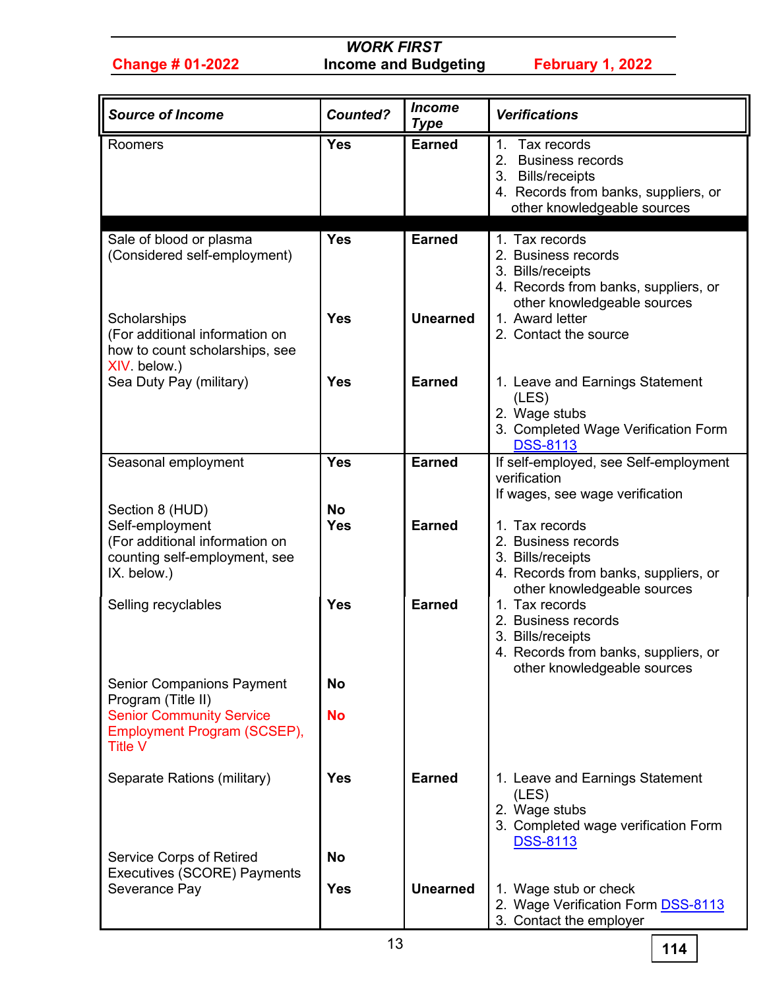| <b>Source of Income</b>                                                                                                                    | <b>Counted?</b>          | <b>Income</b><br><b>Type</b>     | <b>Verifications</b>                                                                                                                                       |
|--------------------------------------------------------------------------------------------------------------------------------------------|--------------------------|----------------------------------|------------------------------------------------------------------------------------------------------------------------------------------------------------|
| Roomers                                                                                                                                    | <b>Yes</b>               | <b>Earned</b>                    | Tax records<br>1 <sub>1</sub><br>2.<br><b>Business records</b><br>3. Bills/receipts<br>4. Records from banks, suppliers, or<br>other knowledgeable sources |
| Sale of blood or plasma<br>(Considered self-employment)<br>Scholarships                                                                    | <b>Yes</b><br><b>Yes</b> | <b>Earned</b><br><b>Unearned</b> | 1. Tax records<br>2. Business records<br>3. Bills/receipts<br>4. Records from banks, suppliers, or<br>other knowledgeable sources<br>1. Award letter       |
| (For additional information on<br>how to count scholarships, see<br>XIV. below.)                                                           |                          |                                  | 2. Contact the source                                                                                                                                      |
| Sea Duty Pay (military)                                                                                                                    | <b>Yes</b>               | <b>Earned</b>                    | 1. Leave and Earnings Statement<br>(LES)<br>2. Wage stubs<br>3. Completed Wage Verification Form<br><b>DSS-8113</b>                                        |
| Seasonal employment                                                                                                                        | <b>Yes</b>               | <b>Earned</b>                    | If self-employed, see Self-employment<br>verification<br>If wages, see wage verification                                                                   |
| Section 8 (HUD)<br>Self-employment<br>(For additional information on<br>counting self-employment, see<br>IX. below.)                       | <b>No</b><br><b>Yes</b>  | <b>Earned</b>                    | 1. Tax records<br>2. Business records<br>3. Bills/receipts<br>4. Records from banks, suppliers, or<br>other knowledgeable sources                          |
| Selling recyclables                                                                                                                        | <b>Yes</b>               | <b>Earned</b>                    | 1. Tax records<br>2. Business records<br>3. Bills/receipts<br>4. Records from banks, suppliers, or<br>other knowledgeable sources                          |
| <b>Senior Companions Payment</b><br>Program (Title II)<br><b>Senior Community Service</b><br>Employment Program (SCSEP),<br><b>Title V</b> | <b>No</b><br><b>No</b>   |                                  |                                                                                                                                                            |
| Separate Rations (military)                                                                                                                | <b>Yes</b>               | <b>Earned</b>                    | 1. Leave and Earnings Statement<br>(LES)<br>2. Wage stubs<br>3. Completed wage verification Form<br><b>DSS-8113</b>                                        |
| Service Corps of Retired<br><b>Executives (SCORE) Payments</b><br>Severance Pay                                                            | <b>No</b><br><b>Yes</b>  | <b>Unearned</b>                  | 1. Wage stub or check<br>2. Wage Verification Form DSS-8113<br>3. Contact the employer                                                                     |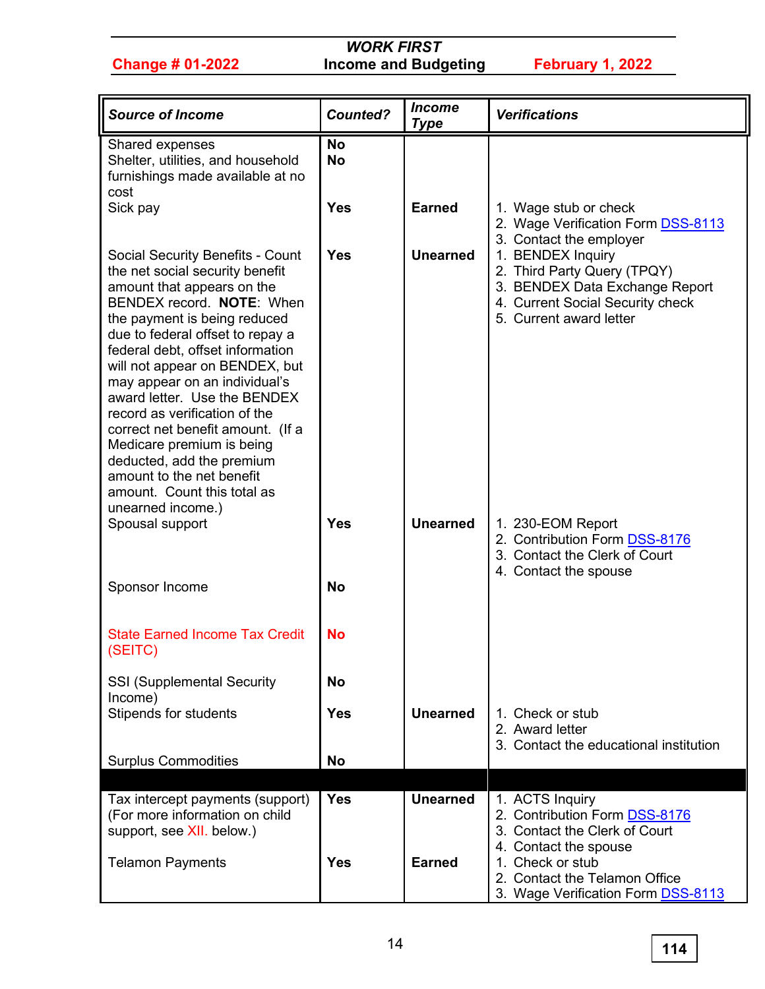| <b>Source of Income</b>                                                                                                                                                                                                                                                                                                                                                                                                                                                                                                                                    | <b>Counted?</b>         | <b>Income</b><br><b>Type</b> | <b>Verifications</b>                                                                                                                              |
|------------------------------------------------------------------------------------------------------------------------------------------------------------------------------------------------------------------------------------------------------------------------------------------------------------------------------------------------------------------------------------------------------------------------------------------------------------------------------------------------------------------------------------------------------------|-------------------------|------------------------------|---------------------------------------------------------------------------------------------------------------------------------------------------|
| Shared expenses<br>Shelter, utilities, and household<br>furnishings made available at no<br>cost                                                                                                                                                                                                                                                                                                                                                                                                                                                           | <b>No</b><br><b>No</b>  |                              |                                                                                                                                                   |
| Sick pay                                                                                                                                                                                                                                                                                                                                                                                                                                                                                                                                                   | <b>Yes</b>              | <b>Earned</b>                | 1. Wage stub or check<br>2. Wage Verification Form DSS-8113<br>3. Contact the employer                                                            |
| Social Security Benefits - Count<br>the net social security benefit<br>amount that appears on the<br>BENDEX record. NOTE: When<br>the payment is being reduced<br>due to federal offset to repay a<br>federal debt, offset information<br>will not appear on BENDEX, but<br>may appear on an individual's<br>award letter. Use the BENDEX<br>record as verification of the<br>correct net benefit amount. (If a<br>Medicare premium is being<br>deducted, add the premium<br>amount to the net benefit<br>amount. Count this total as<br>unearned income.) | <b>Yes</b>              | <b>Unearned</b>              | 1. BENDEX Inquiry<br>2. Third Party Query (TPQY)<br>3. BENDEX Data Exchange Report<br>4. Current Social Security check<br>5. Current award letter |
| Spousal support<br>Sponsor Income                                                                                                                                                                                                                                                                                                                                                                                                                                                                                                                          | <b>Yes</b><br><b>No</b> | <b>Unearned</b>              | 1. 230-EOM Report<br>2. Contribution Form DSS-8176<br>3. Contact the Clerk of Court<br>4. Contact the spouse                                      |
|                                                                                                                                                                                                                                                                                                                                                                                                                                                                                                                                                            |                         |                              |                                                                                                                                                   |
| <b>State Earned Income Tax Credit</b><br>(SEITC)                                                                                                                                                                                                                                                                                                                                                                                                                                                                                                           | <b>No</b>               |                              |                                                                                                                                                   |
| <b>SSI (Supplemental Security</b><br>Income)                                                                                                                                                                                                                                                                                                                                                                                                                                                                                                               | <b>No</b>               |                              |                                                                                                                                                   |
| Stipends for students                                                                                                                                                                                                                                                                                                                                                                                                                                                                                                                                      | <b>Yes</b>              | <b>Unearned</b>              | 1. Check or stub<br>2. Award letter                                                                                                               |
| <b>Surplus Commodities</b>                                                                                                                                                                                                                                                                                                                                                                                                                                                                                                                                 | <b>No</b>               |                              | 3. Contact the educational institution                                                                                                            |
| Tax intercept payments (support)<br>(For more information on child<br>support, see XII. below.)                                                                                                                                                                                                                                                                                                                                                                                                                                                            | <b>Yes</b>              | <b>Unearned</b>              | 1. ACTS Inquiry<br>2. Contribution Form DSS-8176<br>3. Contact the Clerk of Court                                                                 |
| <b>Telamon Payments</b>                                                                                                                                                                                                                                                                                                                                                                                                                                                                                                                                    | <b>Yes</b>              | <b>Earned</b>                | 4. Contact the spouse<br>1. Check or stub<br>2. Contact the Telamon Office<br>3. Wage Verification Form DSS-8113                                  |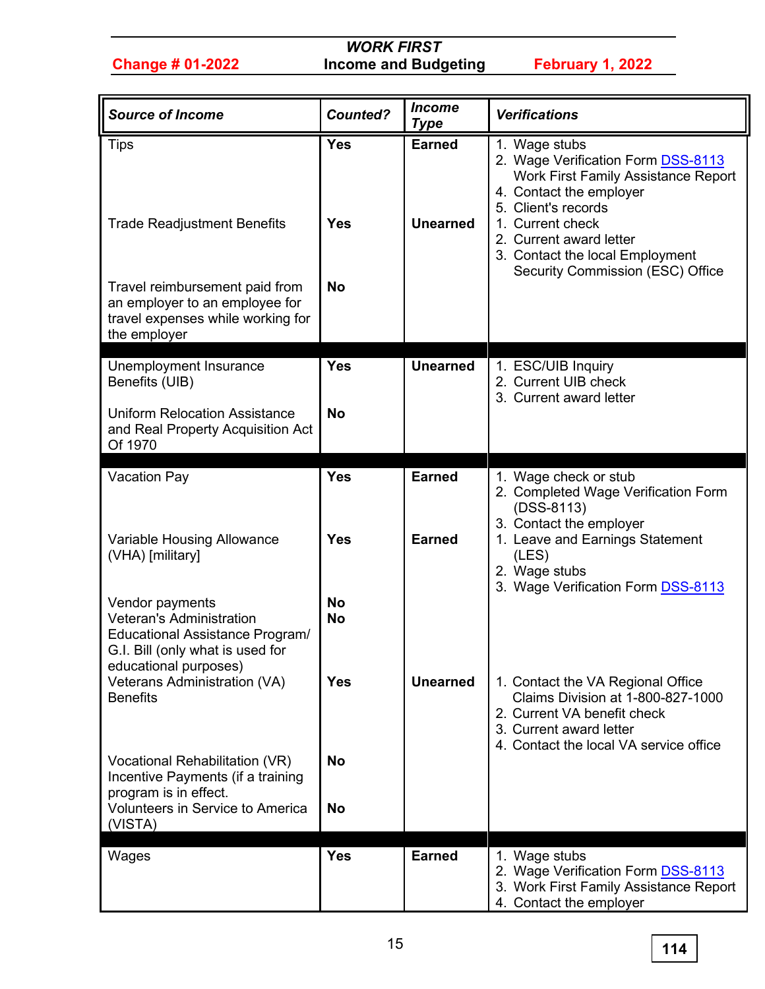| <b>Source of Income</b>                                                                                                                                             | <b>Counted?</b>                       | <b>Income</b><br><b>Type</b>     | <b>Verifications</b>                                                                                                                                                                                                                                                      |
|---------------------------------------------------------------------------------------------------------------------------------------------------------------------|---------------------------------------|----------------------------------|---------------------------------------------------------------------------------------------------------------------------------------------------------------------------------------------------------------------------------------------------------------------------|
| Tips<br><b>Trade Readjustment Benefits</b><br>Travel reimbursement paid from<br>an employer to an employee for<br>travel expenses while working for<br>the employer | <b>Yes</b><br><b>Yes</b><br><b>No</b> | <b>Earned</b><br><b>Unearned</b> | 1. Wage stubs<br>2. Wage Verification Form DSS-8113<br><b>Work First Family Assistance Report</b><br>4. Contact the employer<br>5. Client's records<br>1. Current check<br>2. Current award letter<br>3. Contact the local Employment<br>Security Commission (ESC) Office |
| Unemployment Insurance<br>Benefits (UIB)                                                                                                                            | <b>Yes</b>                            | <b>Unearned</b>                  | 1. ESC/UIB Inquiry<br>2. Current UIB check<br>3. Current award letter                                                                                                                                                                                                     |
| <b>Uniform Relocation Assistance</b><br>and Real Property Acquisition Act<br>Of 1970                                                                                | <b>No</b>                             |                                  |                                                                                                                                                                                                                                                                           |
| <b>Vacation Pay</b>                                                                                                                                                 | <b>Yes</b>                            | <b>Earned</b>                    | 1. Wage check or stub<br>2. Completed Wage Verification Form<br>(DSS-8113)                                                                                                                                                                                                |
| Variable Housing Allowance<br>(VHA) [military]                                                                                                                      | <b>Yes</b>                            | <b>Earned</b>                    | 3. Contact the employer<br>1. Leave and Earnings Statement<br>(LES)<br>2. Wage stubs                                                                                                                                                                                      |
| Vendor payments<br><b>Veteran's Administration</b><br>Educational Assistance Program/<br>G.I. Bill (only what is used for<br>educational purposes)                  | <b>No</b><br><b>No</b>                |                                  | 3. Wage Verification Form DSS-8113                                                                                                                                                                                                                                        |
| Veterans Administration (VA)<br><b>Benefits</b>                                                                                                                     | <b>Yes</b>                            | <b>Unearned</b>                  | 1. Contact the VA Regional Office<br>Claims Division at 1-800-827-1000<br>2. Current VA benefit check<br>3. Current award letter<br>4. Contact the local VA service office                                                                                                |
| Vocational Rehabilitation (VR)<br>Incentive Payments (if a training<br>program is in effect.                                                                        | <b>No</b>                             |                                  |                                                                                                                                                                                                                                                                           |
| Volunteers in Service to America<br>(VISTA)                                                                                                                         | <b>No</b>                             |                                  |                                                                                                                                                                                                                                                                           |
| Wages                                                                                                                                                               | <b>Yes</b>                            | <b>Earned</b>                    | 1. Wage stubs<br>2. Wage Verification Form DSS-8113<br>3. Work First Family Assistance Report<br>4. Contact the employer                                                                                                                                                  |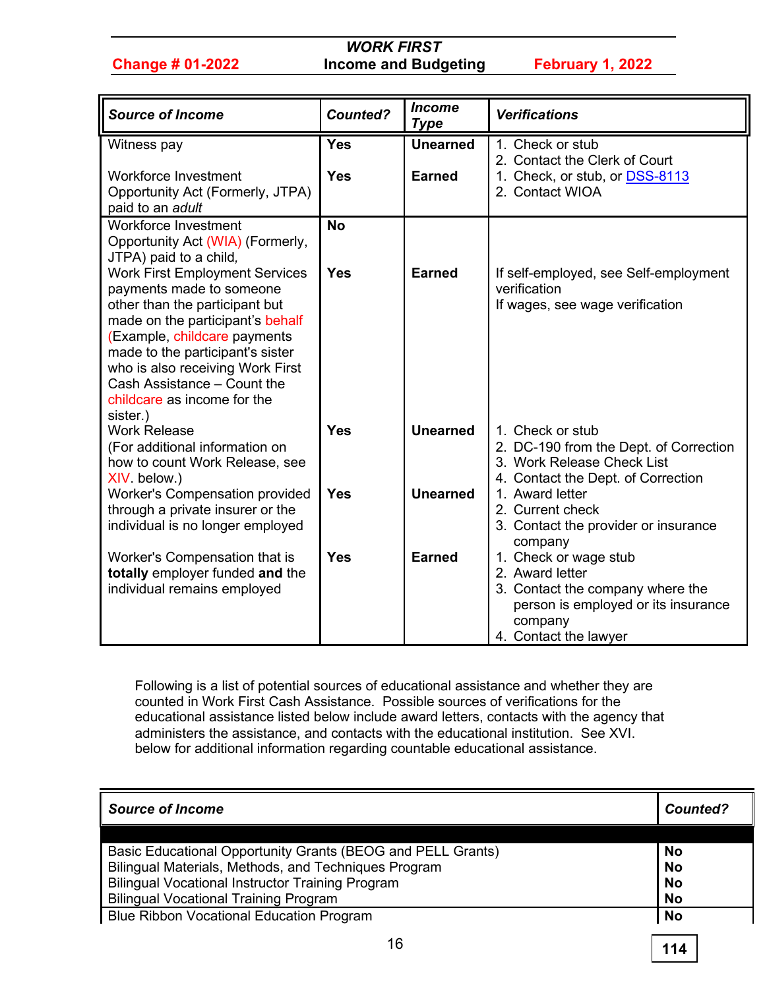| <b>Source of Income</b>                                                                                                                                                                                                                                                                                                   | <b>Counted?</b>          | <b>Income</b><br><b>Type</b>     | <b>Verifications</b>                                                                                                                                    |
|---------------------------------------------------------------------------------------------------------------------------------------------------------------------------------------------------------------------------------------------------------------------------------------------------------------------------|--------------------------|----------------------------------|---------------------------------------------------------------------------------------------------------------------------------------------------------|
| Witness pay<br><b>Workforce Investment</b><br>Opportunity Act (Formerly, JTPA)                                                                                                                                                                                                                                            | <b>Yes</b><br><b>Yes</b> | <b>Unearned</b><br><b>Earned</b> | 1. Check or stub<br>2. Contact the Clerk of Court<br>1. Check, or stub, or DSS-8113<br>2. Contact WIOA                                                  |
| paid to an adult<br><b>Workforce Investment</b><br>Opportunity Act (WIA) (Formerly,<br>JTPA) paid to a child,                                                                                                                                                                                                             | <b>No</b>                |                                  |                                                                                                                                                         |
| <b>Work First Employment Services</b><br>payments made to someone<br>other than the participant but<br>made on the participant's behalf<br>(Example, childcare payments<br>made to the participant's sister<br>who is also receiving Work First<br>Cash Assistance - Count the<br>childcare as income for the<br>sister.) | <b>Yes</b>               | <b>Earned</b>                    | If self-employed, see Self-employment<br>verification<br>If wages, see wage verification                                                                |
| <b>Work Release</b><br>(For additional information on<br>how to count Work Release, see<br>XIV. below.)                                                                                                                                                                                                                   | <b>Yes</b>               | <b>Unearned</b>                  | 1. Check or stub<br>2. DC-190 from the Dept. of Correction<br>3. Work Release Check List<br>4. Contact the Dept. of Correction                          |
| Worker's Compensation provided<br>through a private insurer or the<br>individual is no longer employed                                                                                                                                                                                                                    | <b>Yes</b>               | <b>Unearned</b>                  | 1. Award letter<br>2. Current check<br>3. Contact the provider or insurance<br>company                                                                  |
| Worker's Compensation that is<br>totally employer funded and the<br>individual remains employed                                                                                                                                                                                                                           | <b>Yes</b>               | <b>Earned</b>                    | 1. Check or wage stub<br>2. Award letter<br>3. Contact the company where the<br>person is employed or its insurance<br>company<br>4. Contact the lawyer |

Following is a list of potential sources of educational assistance and whether they are counted in Work First Cash Assistance. Possible sources of verifications for the educational assistance listed below include award letters, contacts with the agency that administers the assistance, and contacts with the educational institution. See XVI. below for additional information regarding countable educational assistance.

| <b>Source of Income</b>                                     | <b>Counted?</b> |
|-------------------------------------------------------------|-----------------|
|                                                             |                 |
| Basic Educational Opportunity Grants (BEOG and PELL Grants) | No              |
| Bilingual Materials, Methods, and Techniques Program        | No              |
| <b>Bilingual Vocational Instructor Training Program</b>     | No              |
| <b>Bilingual Vocational Training Program</b>                | <b>No</b>       |
| <b>Blue Ribbon Vocational Education Program</b>             | <b>No</b>       |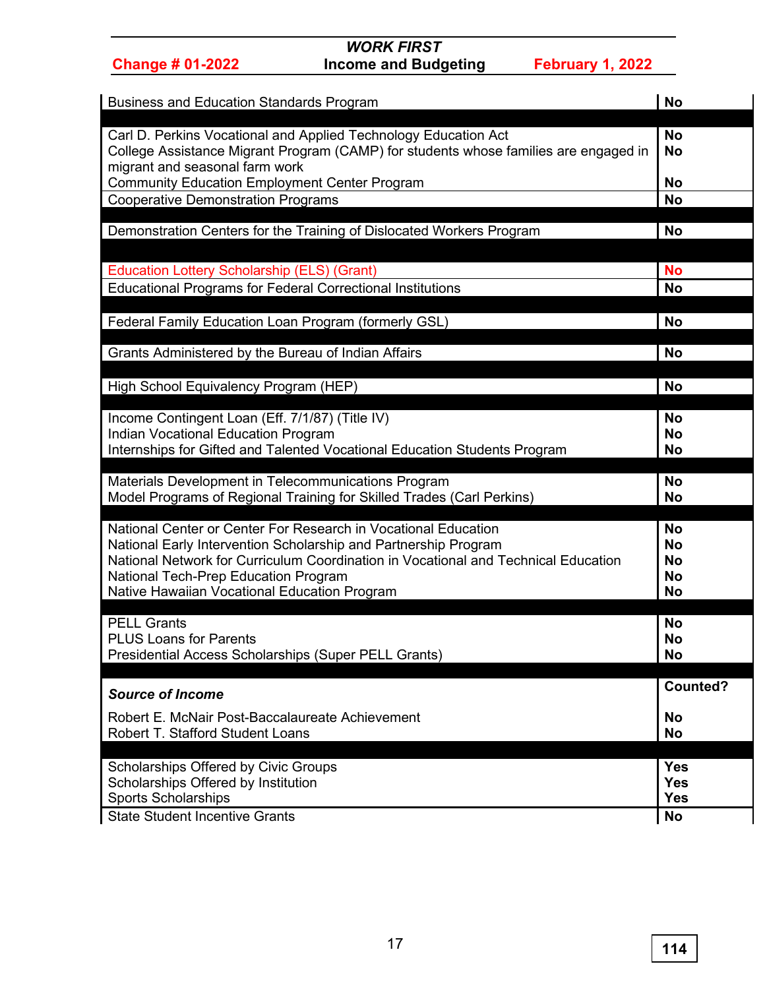|  | <b>Change # 01-2022</b> |
|--|-------------------------|
|  |                         |

# *WORK FIRST* **Income and Budgeting February 1, 2022**

| <b>Business and Education Standards Program</b>                                                                                                                                                                                                                                                                 | <b>No</b>                                              |
|-----------------------------------------------------------------------------------------------------------------------------------------------------------------------------------------------------------------------------------------------------------------------------------------------------------------|--------------------------------------------------------|
| Carl D. Perkins Vocational and Applied Technology Education Act<br>College Assistance Migrant Program (CAMP) for students whose families are engaged in<br>migrant and seasonal farm work                                                                                                                       | <b>No</b><br><b>No</b>                                 |
| <b>Community Education Employment Center Program</b><br><b>Cooperative Demonstration Programs</b>                                                                                                                                                                                                               | <b>No</b><br><b>No</b>                                 |
| Demonstration Centers for the Training of Dislocated Workers Program                                                                                                                                                                                                                                            | <b>No</b>                                              |
| <b>Education Lottery Scholarship (ELS) (Grant)</b>                                                                                                                                                                                                                                                              | <b>No</b>                                              |
| <b>Educational Programs for Federal Correctional Institutions</b>                                                                                                                                                                                                                                               | <b>No</b>                                              |
| Federal Family Education Loan Program (formerly GSL)                                                                                                                                                                                                                                                            | <b>No</b>                                              |
| Grants Administered by the Bureau of Indian Affairs                                                                                                                                                                                                                                                             | <b>No</b>                                              |
| High School Equivalency Program (HEP)                                                                                                                                                                                                                                                                           | <b>No</b>                                              |
| Income Contingent Loan (Eff. 7/1/87) (Title IV)<br><b>Indian Vocational Education Program</b><br>Internships for Gifted and Talented Vocational Education Students Program                                                                                                                                      | <b>No</b><br><b>No</b><br><b>No</b>                    |
| Materials Development in Telecommunications Program<br>Model Programs of Regional Training for Skilled Trades (Carl Perkins)                                                                                                                                                                                    | <b>No</b><br><b>No</b>                                 |
| National Center or Center For Research in Vocational Education<br>National Early Intervention Scholarship and Partnership Program<br>National Network for Curriculum Coordination in Vocational and Technical Education<br>National Tech-Prep Education Program<br>Native Hawaiian Vocational Education Program | <b>No</b><br><b>No</b><br><b>No</b><br><b>No</b><br>No |
| <b>PELL Grants</b><br><b>PLUS Loans for Parents</b><br>Presidential Access Scholarships (Super PELL Grants)                                                                                                                                                                                                     | <b>No</b><br><b>No</b><br><b>No</b>                    |
| <b>Source of Income</b>                                                                                                                                                                                                                                                                                         | <b>Counted?</b>                                        |
| Robert E. McNair Post-Baccalaureate Achievement<br><b>Robert T. Stafford Student Loans</b>                                                                                                                                                                                                                      | <b>No</b><br><b>No</b>                                 |
| Scholarships Offered by Civic Groups<br>Scholarships Offered by Institution<br><b>Sports Scholarships</b><br><b>State Student Incentive Grants</b>                                                                                                                                                              | <b>Yes</b><br><b>Yes</b><br><b>Yes</b><br><b>No</b>    |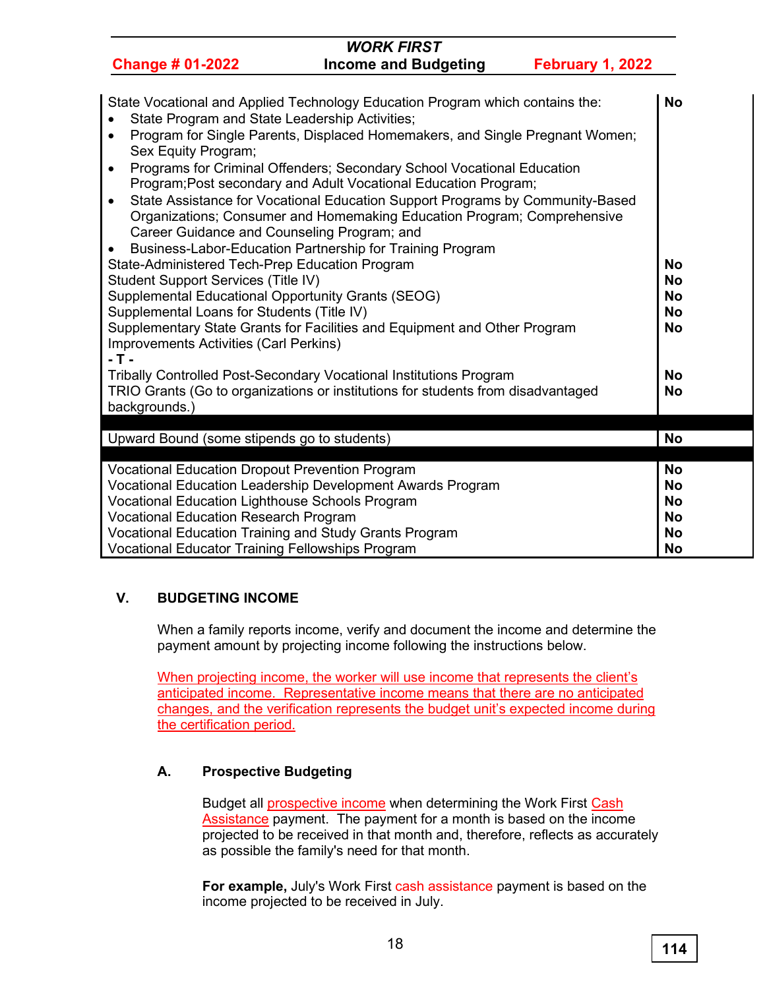|                                                                                                                                                                                                                                                                                                                                                                                                             | <b>WORK FIRST</b>                                                                                                                                                                                                                                                                                                                                                                                                                                                      |                  |                                                                     |  |  |
|-------------------------------------------------------------------------------------------------------------------------------------------------------------------------------------------------------------------------------------------------------------------------------------------------------------------------------------------------------------------------------------------------------------|------------------------------------------------------------------------------------------------------------------------------------------------------------------------------------------------------------------------------------------------------------------------------------------------------------------------------------------------------------------------------------------------------------------------------------------------------------------------|------------------|---------------------------------------------------------------------|--|--|
| <b>Change # 01-2022</b>                                                                                                                                                                                                                                                                                                                                                                                     | <b>Income and Budgeting</b>                                                                                                                                                                                                                                                                                                                                                                                                                                            | February 1, 2022 |                                                                     |  |  |
| State Program and State Leadership Activities;<br>$\bullet$<br>$\bullet$<br>Sex Equity Program;<br>$\bullet$<br>$\bullet$<br>Career Guidance and Counseling Program; and                                                                                                                                                                                                                                    | State Vocational and Applied Technology Education Program which contains the:<br>Program for Single Parents, Displaced Homemakers, and Single Pregnant Women;<br>Programs for Criminal Offenders; Secondary School Vocational Education<br>Program; Post secondary and Adult Vocational Education Program;<br>State Assistance for Vocational Education Support Programs by Community-Based<br>Organizations; Consumer and Homemaking Education Program; Comprehensive |                  | <b>No</b>                                                           |  |  |
| Business-Labor-Education Partnership for Training Program<br>$\bullet$<br>State-Administered Tech-Prep Education Program<br><b>Student Support Services (Title IV)</b><br>Supplemental Educational Opportunity Grants (SEOG)<br>Supplemental Loans for Students (Title IV)<br>Supplementary State Grants for Facilities and Equipment and Other Program<br>Improvements Activities (Carl Perkins)<br>$-T -$ |                                                                                                                                                                                                                                                                                                                                                                                                                                                                        |                  |                                                                     |  |  |
| backgrounds.)                                                                                                                                                                                                                                                                                                                                                                                               | Tribally Controlled Post-Secondary Vocational Institutions Program<br>TRIO Grants (Go to organizations or institutions for students from disadvantaged                                                                                                                                                                                                                                                                                                                 |                  | <b>No</b><br><b>No</b>                                              |  |  |
| Upward Bound (some stipends go to students)                                                                                                                                                                                                                                                                                                                                                                 |                                                                                                                                                                                                                                                                                                                                                                                                                                                                        |                  | <b>No</b>                                                           |  |  |
| <b>Vocational Education Dropout Prevention Program</b><br><b>Vocational Education Lighthouse Schools Program</b><br><b>Vocational Education Research Program</b><br>Vocational Education Training and Study Grants Program<br><b>Vocational Educator Training Fellowships Program</b>                                                                                                                       | Vocational Education Leadership Development Awards Program                                                                                                                                                                                                                                                                                                                                                                                                             |                  | <b>No</b><br><b>No</b><br><b>No</b><br><b>No</b><br><b>No</b><br>No |  |  |

# **V. BUDGETING INCOME**

When a family reports income, verify and document the income and determine the payment amount by projecting income following the instructions below.

When projecting income, the worker will use income that represents the client's anticipated income. [Representative](javascript:TextPopup(this)) income means that there are no anticipated changes, and the verification represents the budget unit's expected income during the certification period.

# **A. Prospective Budgeting**

Budget all **prospective income** when determining the Work First Cash Assistance payment. The payment for a month is based on the income projected to be received in that month and, therefore, reflects as accurately as possible the family's need for that month.

**For example,** July's Work First cash assistance payment is based on the income projected to be received in July.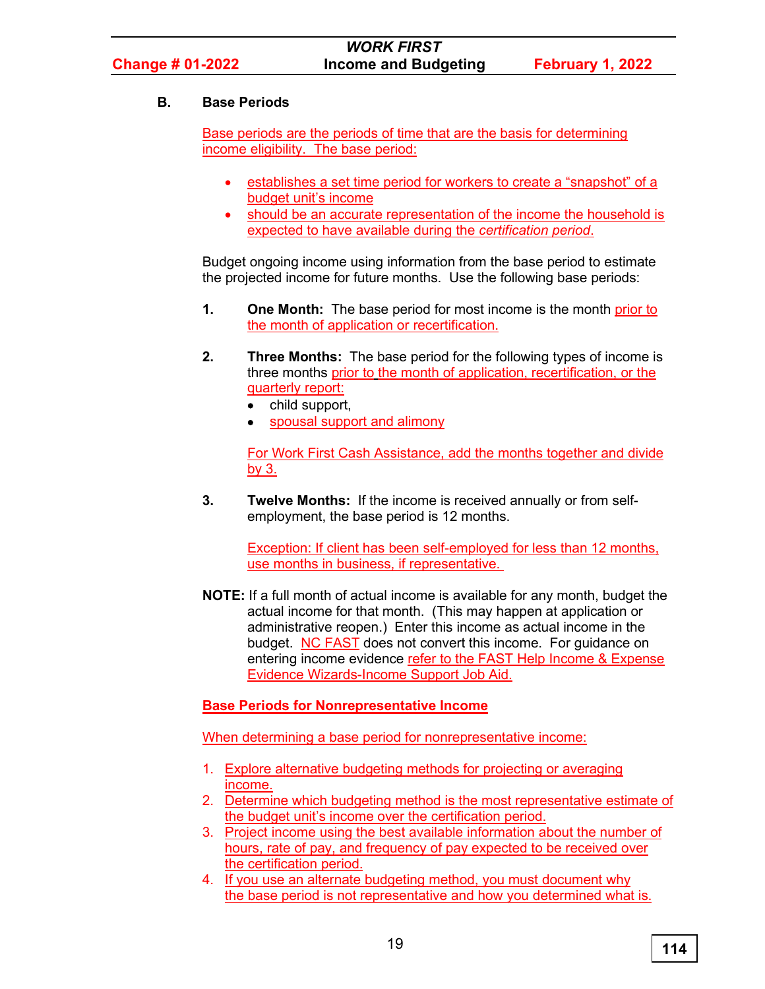# **B. Base Periods**

Base periods are the periods of time that are the basis for determining income eligibility. The base period:

- establishes a set time period for workers to create a "snapshot" of a budget unit's income
- should be an accurate representation of the income the household is expected to have available during the *[certification period](javascript:TextPopup(this))*.

Budget ongoing income using information from the base period to estimate the projected income for future months. Use the following base periods:

- **1. One Month:** The base period for most income is the month prior to the month of application or recertification.
- **2. Three Months:** The base period for the following types of income is three months prior to the month of application, recertification, or the quarterly report:
	- child support,
	- spousal support and alimony

For Work First Cash Assistance, add the months together and divide by 3.

**3. Twelve Months:** If the income is received annually or from selfemployment, the base period is 12 months.

> Exception: If client has been self-employed for less than 12 months, use months in business, if representative.

**NOTE:** If a full month of actual income is available for any month, budget the actual income for that month. (This may happen at application or administrative reopen.) Enter this income as actual income in the budget. NC FAST does not convert this income. For guidance on entering income evidence refer to the FAST Help Income & Expense Evidence Wizards-Income Support Job Aid.

# **Base Periods for Nonrepresentative Income**

When determining a base period for nonrepresentative income:

- 1. Explore alternative budgeting methods for projecting or averaging income.
- 2. Determine which budgeting method is the most representative estimate of the budget unit's income over the certification period.
- 3. Project income using the best available information about the number of hours, rate of pay, and frequency of pay expected to be received over the certification period.
- 4. If you use an alternate budgeting method, you must document why the [base period](javascript:TextPopup(this)) is not representative and how you determined what is.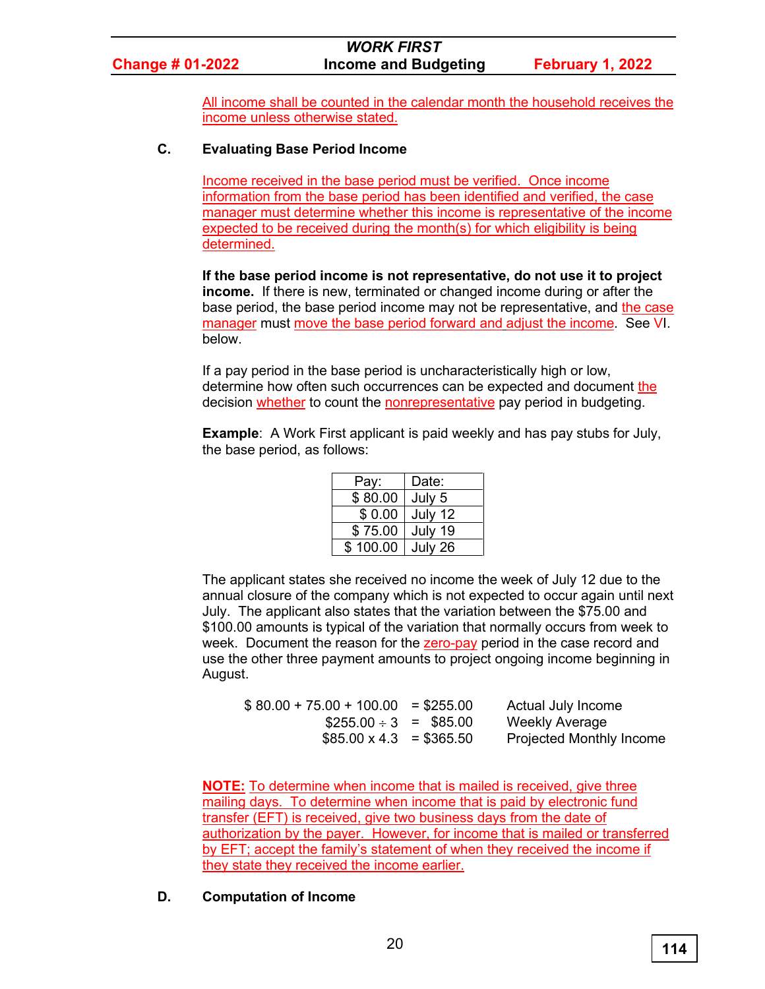|  |  |  | <b>Change # 01-2022</b> |  |
|--|--|--|-------------------------|--|
|  |  |  |                         |  |

### *WORK FIRST* **Income and Budgeting February 1, 2022**

All income shall be counted in the calendar month the household receives the income unless otherwise stated.

#### **C. Evaluating Base Period Income**

Income received in the base period must be verified. Once income information from the base period has been identified and verified, the case manager must determine whether this income is representative of the income expected to be received during the month(s) for which eligibility is being determined.

**If the base period income is not representative, do not use it to project income.** If there is new, terminated or changed income during or after the base period, the base period income may not be representative, and the case manager must move the base period forward and adjust the income. See VI. below.

If a pay period in the base period is uncharacteristically high or low, determine how often such occurrences can be expected and document the decision whether to count the nonrepresentative pay period in budgeting.

**Example**: A Work First applicant is paid weekly and has pay stubs for July, the base period, as follows:

| Pay:     | Date:   |
|----------|---------|
| \$80.00  | July 5  |
| \$0.00   | July 12 |
| \$75.00  | July 19 |
| \$100.00 | July 26 |

The applicant states she received no income the week of July 12 due to the annual closure of the company which is not expected to occur again until next July. The applicant also states that the variation between the \$75.00 and \$100.00 amounts is typical of the variation that normally occurs from week to week. Document the reason for the zero-pay period in the case record and use the other three payment amounts to project ongoing income beginning in August.

| $$80.00 + 75.00 + 100.00 = $255.00$ | Actual July Income              |
|-------------------------------------|---------------------------------|
| $$255.00 \div 3 = $85.00$           | <b>Weekly Average</b>           |
| $$85.00 \times 4.3 = $365.50$       | <b>Projected Monthly Income</b> |

**NOTE:** To determine when income that is mailed is received, give three mailing days. To determine when income that is paid by electronic fund transfer (EFT) is received, give two business days from the date of authorization by the payer. However, for income that is mailed or transferred by EFT; accept the family's statement of when they received the income if they state they received the income earlier.

## **D. Computation of Income**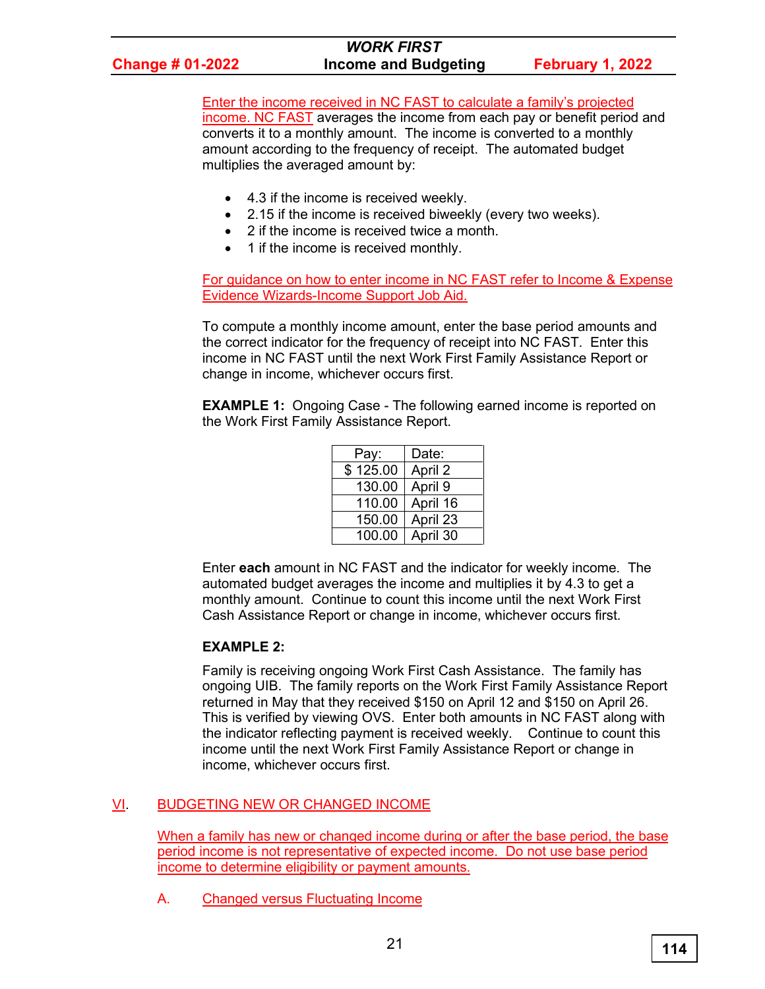Enter the income received in NC FAST to calculate a family's projected income. NC FAST averages the income from each pay or benefit period and converts it to a monthly amount. The income is converted to a monthly amount according to the frequency of receipt. The automated budget multiplies the averaged amount by:

- 4.3 if the income is received weekly.
- 2.15 if the income is received biweekly (every two weeks).
- 2 if the income is received twice a month.
- 1 if the income is received monthly.

For guidance on how to enter income in NC FAST refer to Income & Expense Evidence Wizards-Income Support Job Aid.

To compute a monthly income amount, enter the base period amounts and the correct indicator for the frequency of receipt into NC FAST. Enter this income in NC FAST until the next Work First Family Assistance Report or change in income, whichever occurs first.

**EXAMPLE 1:** Ongoing Case - The following earned income is reported on the Work First Family Assistance Report.

| Pay:     | Date:    |
|----------|----------|
| \$125.00 | April 2  |
| 130.00   | April 9  |
| 110.00   | April 16 |
| 150.00   | April 23 |
| 100.00   | April 30 |

Enter **each** amount in NC FAST and the indicator for weekly income. The automated budget averages the income and multiplies it by 4.3 to get a monthly amount. Continue to count this income until the next Work First Cash Assistance Report or change in income, whichever occurs first.

## **EXAMPLE 2:**

Family is receiving ongoing Work First Cash Assistance. The family has ongoing UIB. The family reports on the Work First Family Assistance Report returned in May that they received \$150 on April 12 and \$150 on April 26. This is verified by viewing OVS. Enter both amounts in NC FAST along with the indicator reflecting payment is received weekly. Continue to count this income until the next Work First Family Assistance Report or change in income, whichever occurs first.

## VI. BUDGETING NEW OR CHANGED INCOME

When a family has new or changed income during or after the base period, the base period income is not representative of expected income. Do not use base period income to determine eligibility or payment amounts.

A. Changed versus Fluctuating Income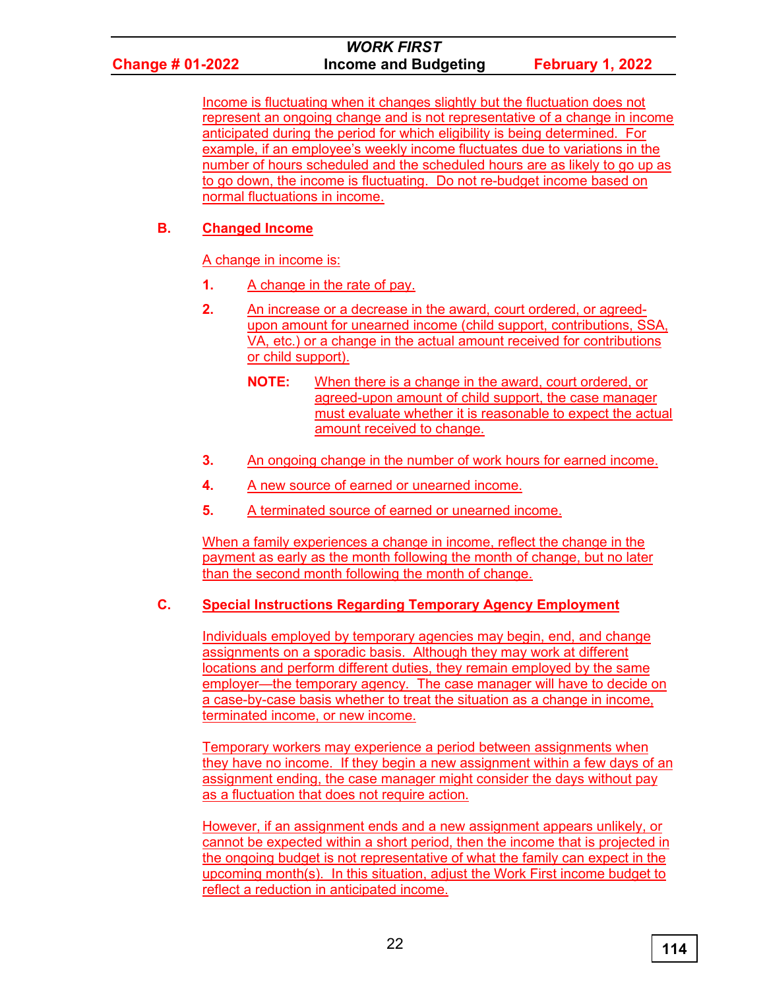Income is fluctuating when it changes slightly but the fluctuation does not represent an ongoing change and is not representative of a change in income anticipated during the period for which eligibility is being determined. For example, if an employee's weekly income fluctuates due to variations in the number of hours scheduled and the scheduled hours are as likely to go up as to go down, the income is fluctuating. Do not re-budget income based on normal fluctuations in income.

# **B. Changed Income**

A change in income is:

- **1.** A change in the rate of pay.
- **2.** An increase or a decrease in the award, court ordered, or agreedupon amount for unearned income (child support, contributions, SSA, VA, etc.) or a change in the actual amount received for contributions or child support).
	- **NOTE:** When there is a change in the award, court ordered, or agreed-upon amount of child support, the case manager must evaluate whether it is reasonable to expect the actual amount received to change.
- **3.** An ongoing change in the number of work hours for earned income.
- **4.** A new source of earned or unearned income.
- **5.** A terminated source of earned or unearned income.

When a family experiences a change in income, reflect the change in the payment as early as the month following the month of change, but no later than the second month following the month of change.

## **C. Special Instructions Regarding Temporary Agency Employment**

Individuals employed by temporary agencies may begin, end, and change assignments on a sporadic basis. Although they may work at different locations and perform different duties, they remain employed by the same employer—the temporary agency. The case manager will have to decide on a case-by-case basis whether to treat the situation as a change in income, terminated income, or new income.

Temporary workers may experience a period between assignments when they have no income. If they begin a new assignment within a few days of an assignment ending, the case manager might consider the days without pay as a fluctuation that does not require action.

However, if an assignment ends and a new assignment appears unlikely, or cannot be expected within a short period, then the income that is projected in the ongoing budget is not representative of what the family can expect in the upcoming month(s). In this situation, adjust the Work First income budget to reflect a reduction in anticipated income.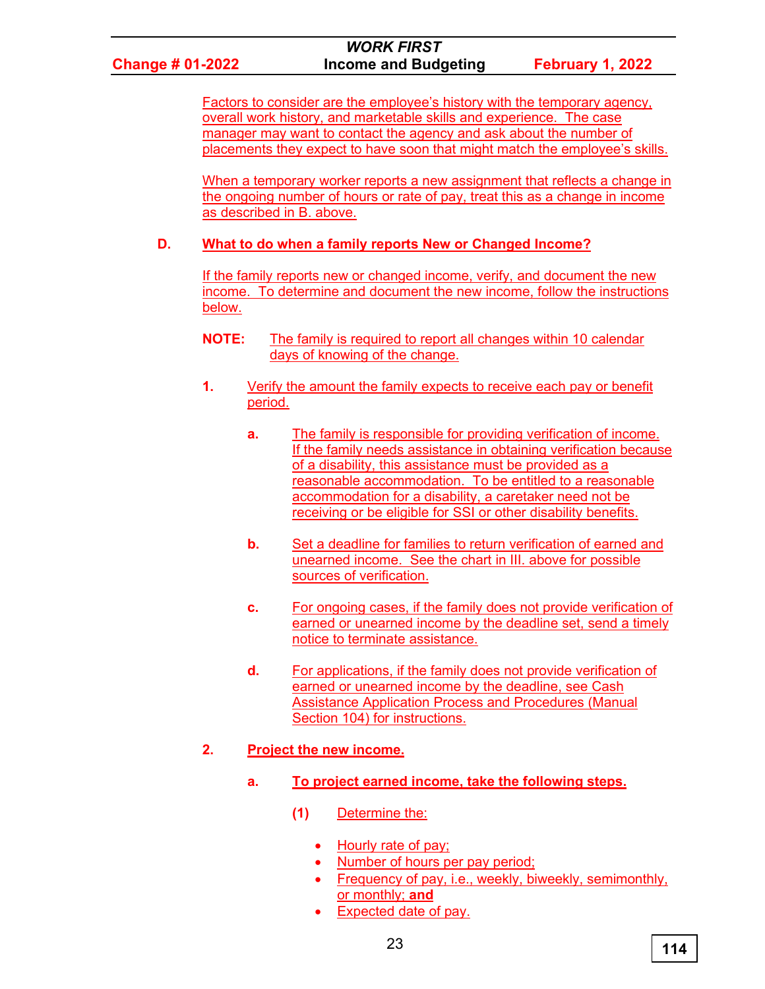Factors to consider are the employee's history with the temporary agency, overall work history, and marketable skills and experience. The case manager may want to contact the agency and ask about the number of placements they expect to have soon that might match the employee's skills.

When a temporary worker reports a new assignment that reflects a change in the ongoing number of hours or rate of pay, treat this as a change in income as described in B. above.

#### **D. What to do when a family reports New or Changed Income?**

If the family reports new or changed income, verify, and document the new income. To determine and document the new income, follow the instructions below.

- **NOTE:** The family is required to report all changes within 10 calendar days of knowing of the change.
- **1.** Verify the amount the family expects to receive each pay or benefit period.
	- **a.** The family is responsible for providing verification of income. If the family needs assistance in obtaining verification because of a disability, this assistance must be provided as a reasonable accommodation. To be entitled to a reasonable accommodation for a disability, a caretaker need not be receiving or be eligible for SSI or other disability benefits.
	- **b.** Set a deadline for families to return verification of earned and unearned income. See the chart in III. above for possible sources of verification.
	- **c.** For ongoing cases, if the family does not provide verification of earned or unearned income by the deadline set, send a timely notice to terminate assistance.
	- **d.** For applications, if the family does not provide verification of earned or unearned income by the deadline, see Cash Assistance Application Process and Procedures (Manual Section 104) for instructions.

#### **2. Project the new income.**

- **a. To project earned income, take the following steps.**
	- **(1)** Determine the:
		- Hourly rate of pay;
		- Number of hours per pay period;
		- Frequency of pay, i.e., weekly, biweekly, semimonthly, or monthly; **and**
		- Expected date of pay.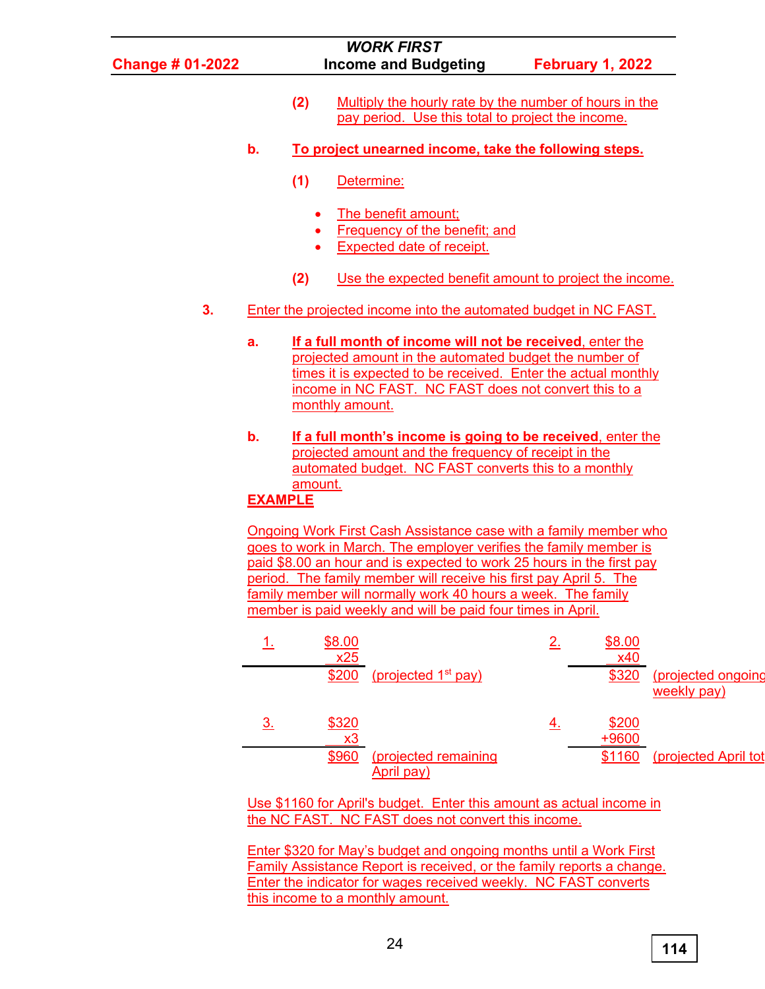| <b>Change # 01-2022</b> |                   |                             |               | <b>WORK FIRST</b><br><b>Income and Budgeting</b>                                                                                   |                                 |                   | <b>February 1, 2022</b>                                                                                                                                                             |                                   |
|-------------------------|-------------------|-----------------------------|---------------|------------------------------------------------------------------------------------------------------------------------------------|---------------------------------|-------------------|-------------------------------------------------------------------------------------------------------------------------------------------------------------------------------------|-----------------------------------|
|                         |                   | (2)                         |               | pay period. Use this total to project the income.                                                                                  |                                 |                   | Multiply the hourly rate by the number of hours in the                                                                                                                              |                                   |
|                         | b.                |                             |               |                                                                                                                                    |                                 |                   | To project unearned income, take the following steps.                                                                                                                               |                                   |
|                         |                   | (1)                         |               | Determine:                                                                                                                         |                                 |                   |                                                                                                                                                                                     |                                   |
|                         |                   | ٠<br>$\bullet$<br>$\bullet$ |               | The benefit amount;<br>Frequency of the benefit; and<br><b>Expected date of receipt.</b>                                           |                                 |                   |                                                                                                                                                                                     |                                   |
|                         |                   | (2)                         |               |                                                                                                                                    |                                 |                   | Use the expected benefit amount to project the income.                                                                                                                              |                                   |
| 3.                      |                   |                             |               |                                                                                                                                    |                                 |                   | <b>Enter the projected income into the automated budget in NC FAST.</b>                                                                                                             |                                   |
|                         | a.                | monthly amount.             |               | projected amount in the automated budget the number of                                                                             |                                 |                   | If a full month of income will not be received, enter the<br>times it is expected to be received. Enter the actual monthly<br>income in NC FAST. NC FAST does not convert this to a |                                   |
|                         | b.                | amount.<br><b>EXAMPLE</b>   |               | projected amount and the frequency of receipt in the<br>automated budget. NC FAST converts this to a monthly                       |                                 |                   | If a full month's income is going to be received, enter the                                                                                                                         |                                   |
|                         |                   |                             |               |                                                                                                                                    |                                 |                   | Ongoing Work First Cash Assistance case with a family member who                                                                                                                    |                                   |
|                         |                   |                             |               |                                                                                                                                    |                                 |                   | goes to work in March. The employer verifies the family member is                                                                                                                   |                                   |
|                         |                   |                             |               | period. The family member will receive his first pay April 5. The                                                                  |                                 |                   | paid \$8.00 an hour and is expected to work 25 hours in the first pay                                                                                                               |                                   |
|                         |                   |                             |               | <u>family member will normally work 40 hours a week. The family</u><br>member is paid weekly and will be paid four times in April. |                                 |                   |                                                                                                                                                                                     |                                   |
|                         | 1.                |                             | \$8.00<br>x25 |                                                                                                                                    |                                 | 2.                | \$8.00<br>x40                                                                                                                                                                       |                                   |
|                         |                   |                             | \$200         |                                                                                                                                    | (projected 1 <sup>st</sup> pay) |                   | \$320                                                                                                                                                                               | (projected ongoing<br>weekly pay) |
|                         | $\underline{3}$ . |                             | \$320<br>x3   |                                                                                                                                    |                                 | $\underline{4}$ . | \$200<br>+9600                                                                                                                                                                      |                                   |
|                         |                   |                             | \$960         | <u>April pay)</u>                                                                                                                  | (projected remaining            |                   | \$1160                                                                                                                                                                              | (projected April tot              |
|                         |                   |                             |               | the NC FAST. NC FAST does not convert this income.                                                                                 |                                 |                   | Use \$1160 for April's budget. Enter this amount as actual income in                                                                                                                |                                   |
|                         |                   |                             |               |                                                                                                                                    |                                 |                   | Enter \$320 for May's budget and ongoing months until a Work First                                                                                                                  |                                   |

Family Assistance Report is received, or the family reports a change. Enter the indicator for wages received weekly. NC FAST converts this income to a monthly amount.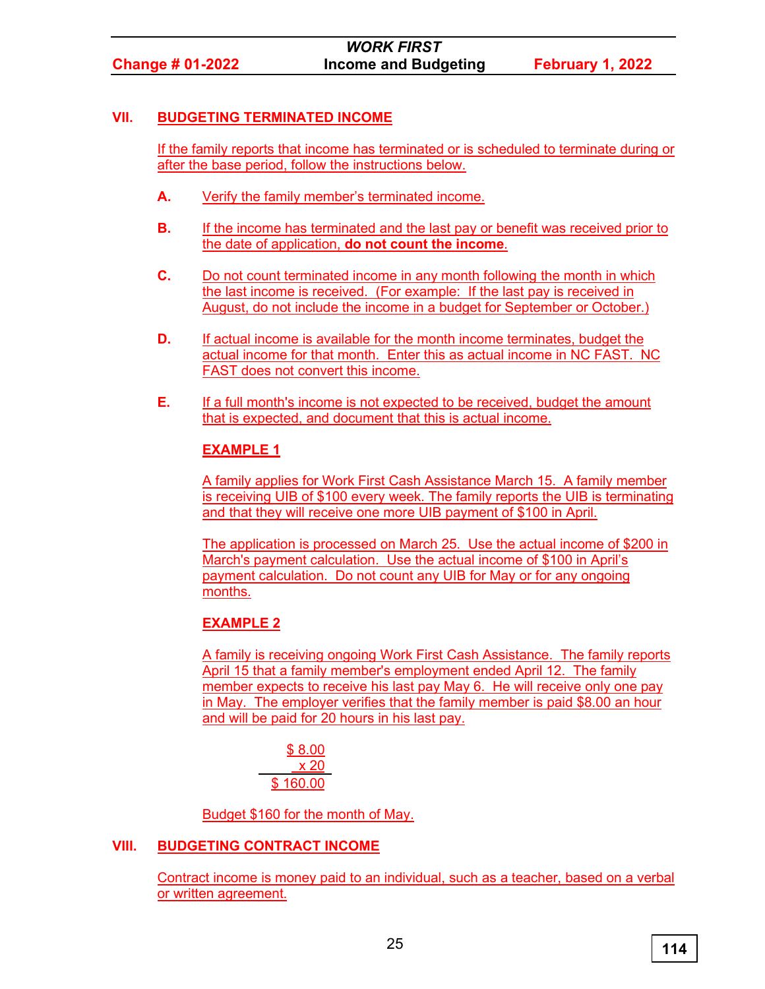## **VII. BUDGETING TERMINATED INCOME**

If the family reports that income has terminated or is scheduled to terminate during or after the base period, follow the instructions below.

- **A.** Verify the family member's terminated income.
- **B.** If the income has terminated and the last pay or benefit was received prior to the date of application, **do not count the income**.
- **C.** Do not count terminated income in any month following the month in which the last income is received. (For example: If the last pay is received in August, do not include the income in a budget for September or October.)
- **D.** If actual income is available for the month income terminates, budget the actual income for that month. Enter this as actual income in NC FAST. NC FAST does not convert this income.
- **E.** If a full month's income is not expected to be received, budget the amount that is expected, and document that this is actual income.

# **EXAMPLE 1**

A family applies for Work First Cash Assistance March 15. A family member is receiving UIB of \$100 every week. The family reports the UIB is terminating and that they will receive one more UIB payment of \$100 in April.

The application is processed on March 25. Use the actual income of \$200 in March's payment calculation. Use the actual income of \$100 in April's payment calculation. Do not count any UIB for May or for any ongoing months.

# **EXAMPLE 2**

A family is receiving ongoing Work First Cash Assistance. The family reports April 15 that a family member's employment ended April 12. The family member expects to receive his last pay May 6. He will receive only one pay in May. The employer verifies that the family member is paid \$8.00 an hour and will be paid for 20 hours in his last pay.

> \$ 8.00 x 20 \$ 160.00

Budget \$160 for the month of May.

## **VIII. BUDGETING CONTRACT INCOME**

Contract income is money paid to an individual, such as a teacher, based on a verbal or written agreement.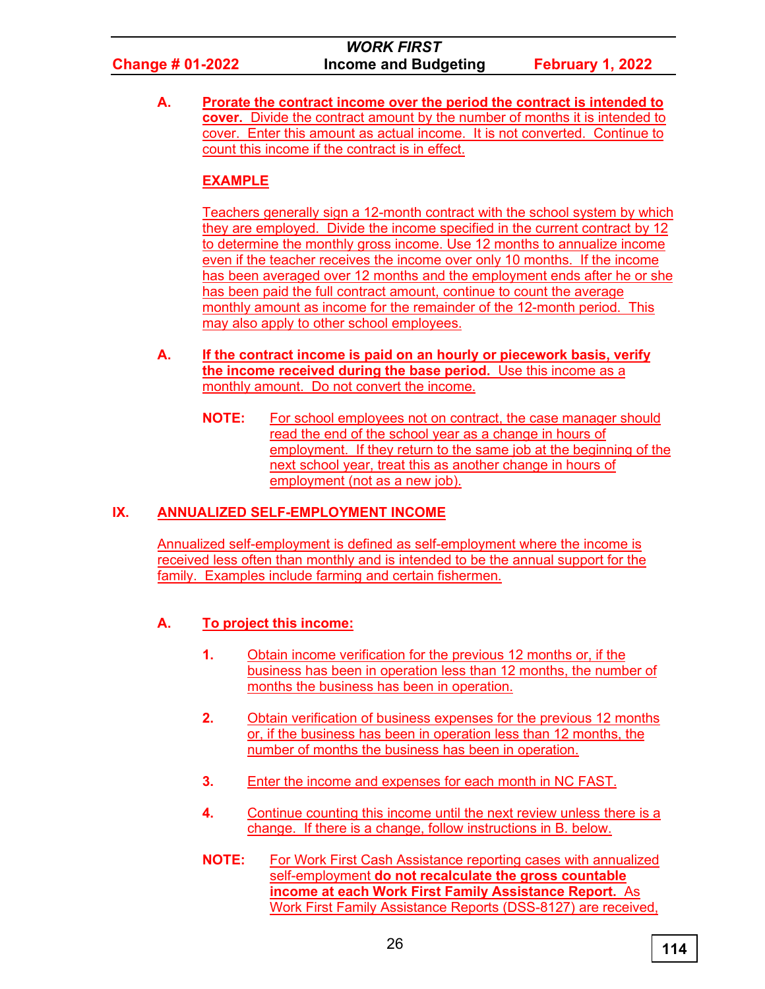**A. Prorate the contract income over the period the contract is intended to cover.** Divide the contract amount by the number of months it is intended to cover. Enter this amount as actual income. It is not converted. Continue to count this income if the contract is in effect.

# **EXAMPLE**

Teachers generally sign a 12-month contract with the school system by which they are employed. Divide the income specified in the current contract by 12 to determine the monthly gross income. Use 12 months to annualize income even if the teacher receives the income over only 10 months. If the income has been averaged over 12 months and the employment ends after he or she has been paid the full contract amount, continue to count the average monthly amount as income for the remainder of the 12-month period. This may also apply to other school employees.

- **A. If the contract income is paid on an hourly or piecework basis, verify the income received during the base period.** Use this income as a monthly amount. Do not convert the income.
	- **NOTE:** For school employees not on contract, the case manager should read the end of the school year as a change in hours of employment. If they return to the same job at the beginning of the next school year, treat this as another change in hours of employment (not as a new job).

# **IX. ANNUALIZED SELF-EMPLOYMENT INCOME**

Annualized self-employment is defined as self-employment where the income is received less often than monthly and is intended to be the annual support for the family. Examples include farming and certain fishermen.

# **A. To project this income:**

- **1.** Obtain income verification for the previous 12 months or, if the business has been in operation less than 12 months, the number of months the business has been in operation.
- **2.** Obtain verification of business expenses for the previous 12 months or, if the business has been in operation less than 12 months, the number of months the business has been in operation.
- **3.** Enter the income and expenses for each month in NC FAST.
- **4.** Continue counting this income until the next review unless there is a change. If there is a change, follow instructions in B. below.
- **NOTE:** For Work First Cash Assistance reporting cases with annualized self-employment **do not recalculate the gross countable income at each Work First Family Assistance Report.** As Work First Family Assistance Reports (DSS-8127) are received,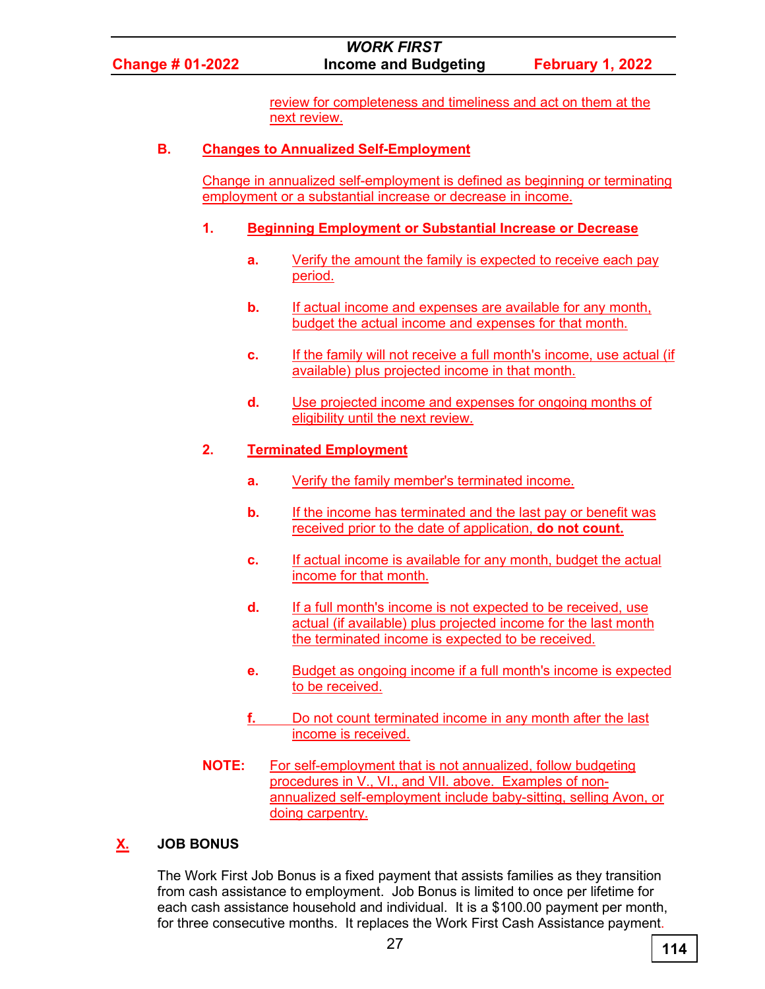review for completeness and timeliness and act on them at the next review.

## **B. Changes to Annualized Self-Employment**

Change in annualized self-employment is defined as beginning or terminating employment or a substantial increase or decrease in income.

#### **1. Beginning Employment or Substantial Increase or Decrease**

- **a.** Verify the amount the family is expected to receive each pay period.
- **b.** If actual income and expenses are available for any month, budget the actual income and expenses for that month.
- **c.** If the family will not receive a full month's income, use actual (if available) plus projected income in that month.
- **d.** Use projected income and expenses for ongoing months of eligibility until the next review.

## **2. Terminated Employment**

- **a.** Verify the family member's terminated income.
- **b.** If the income has terminated and the last pay or benefit was received prior to the date of application, **do not count.**
- **c.** If actual income is available for any month, budget the actual income for that month.
- **d.** If a full month's income is not expected to be received, use actual (if available) plus projected income for the last month the terminated income is expected to be received.
- **e.** Budget as ongoing income if a full month's income is expected to be received.
- **f.** Do not count terminated income in any month after the last income is received.
- **NOTE:** For self-employment that is not annualized, follow budgeting procedures in V., VI., and VII. above. Examples of nonannualized self-employment include baby-sitting, selling Avon, or doing carpentry.

## **X. JOB BONUS**

The Work First Job Bonus is a fixed payment that assists families as they transition from cash assistance to employment. Job Bonus is limited to once per lifetime for each cash assistance household and individual. It is a \$100.00 payment per month, for three consecutive months. It replaces the Work First Cash Assistance payment.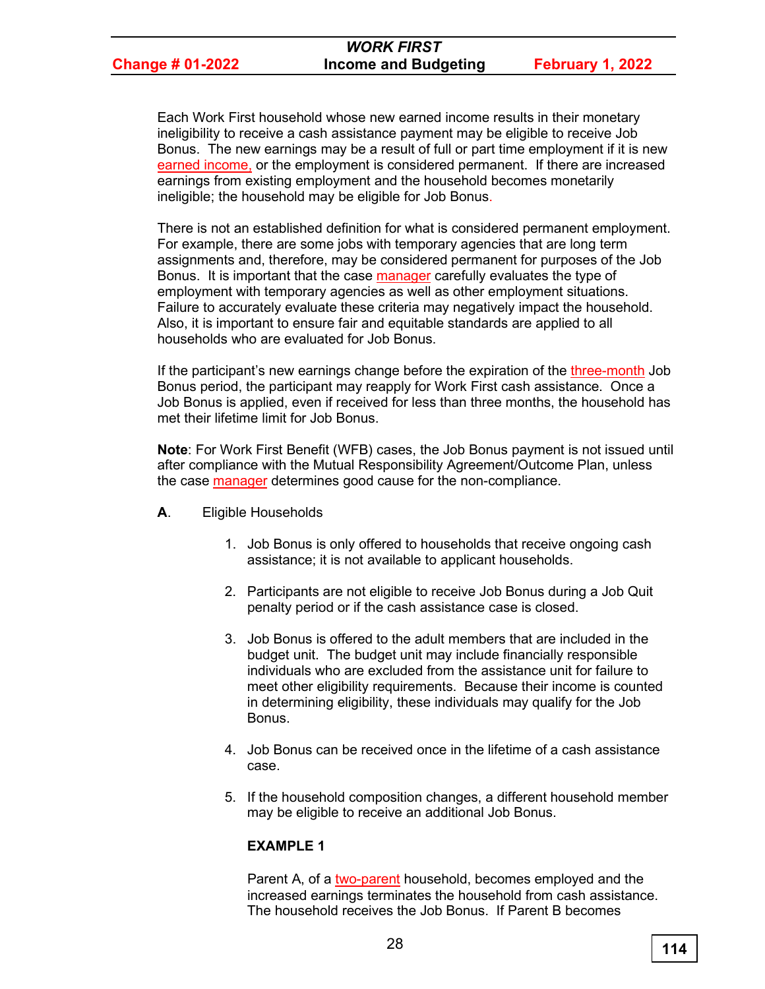Each Work First household whose new earned income results in their monetary ineligibility to receive a cash assistance payment may be eligible to receive Job Bonus. The new earnings may be a result of full or part time employment if it is new earned income, or the employment is considered permanent. If there are increased earnings from existing employment and the household becomes monetarily ineligible; the household may be eligible for Job Bonus.

There is not an established definition for what is considered permanent employment. For example, there are some jobs with temporary agencies that are long term assignments and, therefore, may be considered permanent for purposes of the Job Bonus. It is important that the case manager carefully evaluates the type of employment with temporary agencies as well as other employment situations. Failure to accurately evaluate these criteria may negatively impact the household. Also, it is important to ensure fair and equitable standards are applied to all households who are evaluated for Job Bonus.

If the participant's new earnings change before the expiration of the three-month Job Bonus period, the participant may reapply for Work First cash assistance. Once a Job Bonus is applied, even if received for less than three months, the household has met their lifetime limit for Job Bonus.

**Note**: For Work First Benefit (WFB) cases, the Job Bonus payment is not issued until after compliance with the Mutual Responsibility Agreement/Outcome Plan, unless the case manager determines good cause for the non-compliance.

- **A**. Eligible Households
	- 1. Job Bonus is only offered to households that receive ongoing cash assistance; it is not available to applicant households.
	- 2. Participants are not eligible to receive Job Bonus during a Job Quit penalty period or if the cash assistance case is closed.
	- 3. Job Bonus is offered to the adult members that are included in the budget unit. The budget unit may include financially responsible individuals who are excluded from the assistance unit for failure to meet other eligibility requirements. Because their income is counted in determining eligibility, these individuals may qualify for the Job Bonus.
	- 4. Job Bonus can be received once in the lifetime of a cash assistance case.
	- 5. If the household composition changes, a different household member may be eligible to receive an additional Job Bonus.

## **EXAMPLE 1**

Parent A, of a two-parent household, becomes employed and the increased earnings terminates the household from cash assistance. The household receives the Job Bonus. If Parent B becomes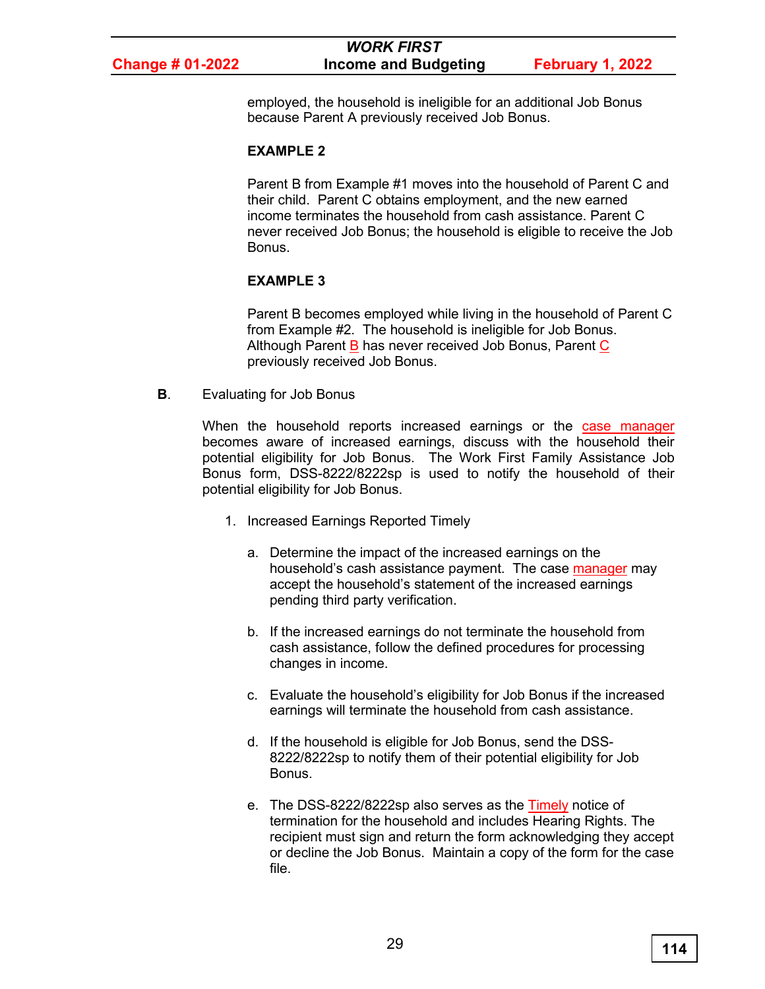| <b>Change # 01-2022</b> |  |  |  |
|-------------------------|--|--|--|
|                         |  |  |  |

## *WORK FIRST* **Income and Budgeting February 1, 2022**

employed, the household is ineligible for an additional Job Bonus because Parent A previously received Job Bonus.

#### **EXAMPLE 2**

Parent B from Example #1 moves into the household of Parent C and their child. Parent C obtains employment, and the new earned income terminates the household from cash assistance. Parent C never received Job Bonus; the household is eligible to receive the Job Bonus.

## **EXAMPLE 3**

Parent B becomes employed while living in the household of Parent C from Example #2. The household is ineligible for Job Bonus. Although Parent B has never received Job Bonus, Parent C previously received Job Bonus.

**B**. Evaluating for Job Bonus

When the household reports increased earnings or the case manager becomes aware of increased earnings, discuss with the household their potential eligibility for Job Bonus. The Work First Family Assistance Job Bonus form, [DSS-8222/8222sp](http://info.dhhs.state.nc.us/olm/forms/forms.aspx?dc=dss) is used to notify the household of their potential eligibility for Job Bonus.

- 1. Increased Earnings Reported Timely
	- a. Determine the impact of the increased earnings on the household's cash assistance payment. The case manager may accept the household's statement of the increased earnings pending third party verification.
	- b. If the increased earnings do not terminate the household from cash assistance, follow the defined procedures for processing changes in income.
	- c. Evaluate the household's eligibility for Job Bonus if the increased earnings will terminate the household from cash assistance.
	- d. If the household is eligible for Job Bonus, send the DSS-8222/8222sp to notify them of their potential eligibility for Job Bonus.
	- e. The DSS-8222/8222sp also serves as the Timely notice of termination for the household and includes Hearing Rights. The recipient must sign and return the form acknowledging they accept or decline the Job Bonus. Maintain a copy of the form for the case file.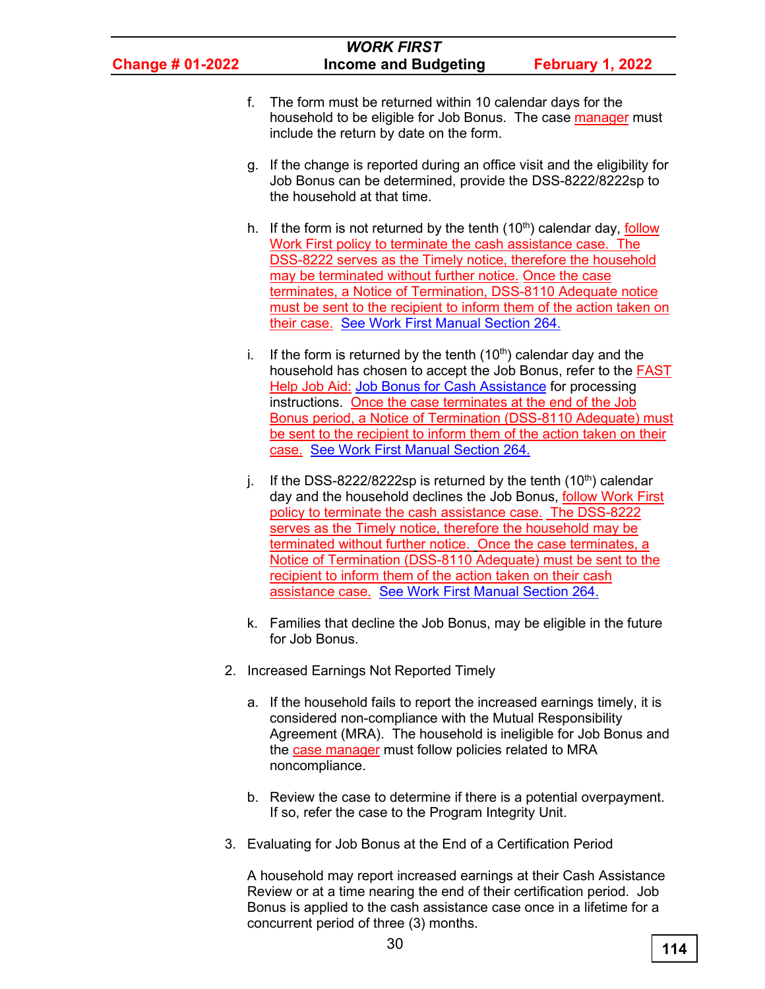| <b>WORK FIRST</b>       |                                                                                                                                                                                                                                                                                                                                                                                                                                                                 |                         |  |  |  |  |  |
|-------------------------|-----------------------------------------------------------------------------------------------------------------------------------------------------------------------------------------------------------------------------------------------------------------------------------------------------------------------------------------------------------------------------------------------------------------------------------------------------------------|-------------------------|--|--|--|--|--|
| <b>Change # 01-2022</b> | <b>Income and Budgeting</b>                                                                                                                                                                                                                                                                                                                                                                                                                                     | <b>February 1, 2022</b> |  |  |  |  |  |
| f.                      | The form must be returned within 10 calendar days for the<br>household to be eligible for Job Bonus. The case manager must<br>include the return by date on the form.                                                                                                                                                                                                                                                                                           |                         |  |  |  |  |  |
|                         | g. If the change is reported during an office visit and the eligibility for<br>Job Bonus can be determined, provide the DSS-8222/8222sp to<br>the household at that time.                                                                                                                                                                                                                                                                                       |                         |  |  |  |  |  |
|                         | h. If the form is not returned by the tenth $(10th)$ calendar day, follow<br>Work First policy to terminate the cash assistance case. The<br>DSS-8222 serves as the Timely notice, therefore the household<br>may be terminated without further notice. Once the case<br>terminates, a Notice of Termination, DSS-8110 Adequate notice<br>must be sent to the recipient to inform them of the action taken on<br>their case. See Work First Manual Section 264. |                         |  |  |  |  |  |
|                         | $\frac{1}{2}$ if the ferm is returned by the tenth $(40^{\text{th}})$ estender deviand the                                                                                                                                                                                                                                                                                                                                                                      |                         |  |  |  |  |  |

- i. If the form is returned by the tenth  $(10<sup>th</sup>)$  calendar day and the household has chosen to accept the Job Bonus, refer to the **FAST** Help Job Aid: Job Bonus for Cash Assistance for processing instructions. Once the case terminates at the end of the Job Bonus period, a Notice of Termination (DSS-8110 Adequate) must be sent to the recipient to inform them of the action taken on their case. See Work First Manual Section 264.
- j. If the DSS-8222/8222sp is returned by the tenth  $(10<sup>th</sup>)$  calendar day and the household declines the Job Bonus, follow Work First policy to terminate the cash assistance case. The DSS-8222 serves as the Timely notice, therefore the household may be terminated without further notice. Once the case terminates, a Notice of Termination (DSS-8110 Adequate) must be sent to the recipient to inform them of the action taken on their cash assistance case. See Work First Manual Section 264.
- k. Families that decline the Job Bonus, may be eligible in the future for Job Bonus.
- 2. Increased Earnings Not Reported Timely
	- a. If the household fails to report the increased earnings timely, it is considered non-compliance with the Mutual Responsibility Agreement (MRA). The household is ineligible for Job Bonus and the case manager must follow policies related to MRA noncompliance.
	- b. Review the case to determine if there is a potential overpayment. If so, refer the case to the Program Integrity Unit.
- 3. Evaluating for Job Bonus at the End of a Certification Period

A household may report increased earnings at their Cash Assistance Review or at a time nearing the end of their certification period. Job Bonus is applied to the cash assistance case once in a lifetime for a concurrent period of three (3) months.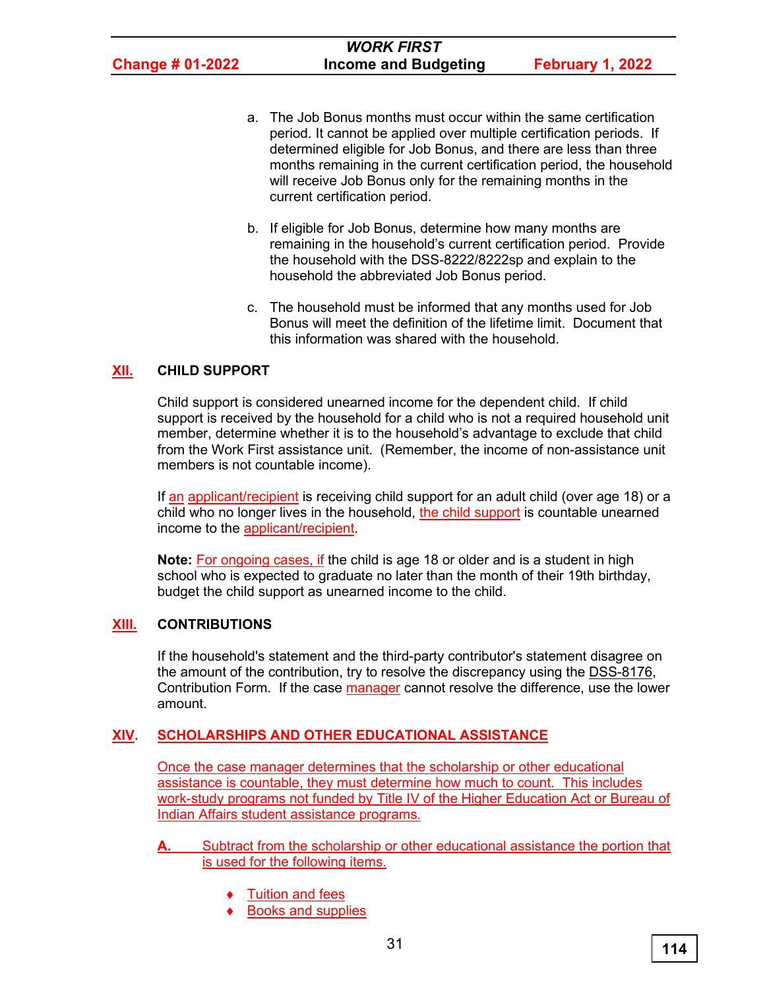| <b>Change # 01-2022</b> |  |  |  |
|-------------------------|--|--|--|
|                         |  |  |  |

# *WORK FIRST* **Income and Budgeting February 1, 2022**

- a. The Job Bonus months must occur within the same certification period. It cannot be applied over multiple certification periods. If determined eligible for Job Bonus, and there are less than three months remaining in the current certification period, the household will receive Job Bonus only for the remaining months in the current certification period.
- b. If eligible for Job Bonus, determine how many months are remaining in the household's current certification period. Provide the household with the DSS-8222/8222sp and explain to the household the abbreviated Job Bonus period.
- c. The household must be informed that any months used for Job Bonus will meet the definition of the lifetime limit. Document that this information was shared with the household.

# **XII. CHILD SUPPORT**

Child support is considered unearned income for the dependent child. If child support is received by the household for a child who is not a required household unit member, determine whether it is to the household's advantage to exclude that child from the Work First assistance unit. (Remember, the income of non-assistance unit members is not countable income).

If an applicant/recipient is receiving child support for an adult child (over age 18) or a child who no longer lives in the household, the child support is countable [unearned](javascript:TextPopup(this))  [income](javascript:TextPopup(this)) to the applicant/recipient.

**Note:** For ongoing cases, if the child is age 18 or older and is a student in high school who is expected to graduate no later than the month of their 19th birthday, budget the child support as unearned income to the child.

# **XIII. CONTRIBUTIONS**

If the household's statement and the third-party contributor's statement disagree on the amount of the contribution, try to resolve the discrepancy using the [DSS-8176,](http://info.dhhs.state.nc.us/olm/forms/dss/dss-8176-ia.pdf) Contribution Form. If the case manager cannot resolve the difference, use the lower amount.

# **XIV. SCHOLARSHIPS AND OTHER EDUCATIONAL ASSISTANCE**

Once the case manager determines that the scholarship or other educational assistance is countable, they must determine how much to count. This includes work-study programs not funded by Title IV of the Higher Education Act or Bureau of Indian Affairs student assistance programs.

- **A.** Subtract from the scholarship or other educational assistance the portion that is used for the following items.
	- **Tuition and fees**
	- **Books and supplies**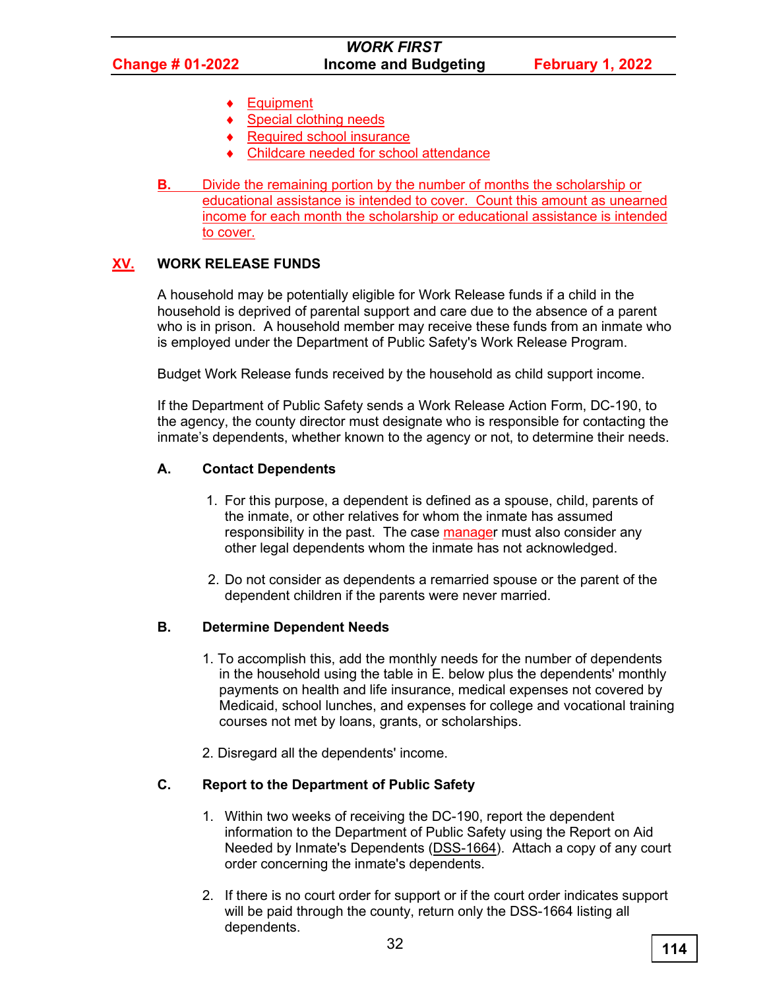- **Equipment**
- Special clothing needs
- **Required school insurance**
- Childcare needed for school attendance
- **B.** Divide the remaining portion by the number of months the scholarship or educational assistance is intended to cover. Count this amount as unearned income for each month the scholarship or educational assistance is intended to cover.

# **XV. WORK RELEASE FUNDS**

A household may be potentially eligible for Work Release funds if a child in the household is deprived of parental support and care due to the absence of a parent who is in prison. A household member may receive these funds from an inmate who is employed under the Department of Public Safety's Work Release Program.

Budget Work Release funds received by the household as child support income.

If the Department of Public Safety sends a Work Release Action Form, DC-190, to the agency, the county director must designate who is responsible for contacting the inmate's dependents, whether known to the agency or not, to determine their needs.

#### **A. Contact Dependents**

- 1. For this purpose, a dependent is defined as a spouse, child, parents of the inmate, or other relatives for whom the inmate has assumed responsibility in the past. The case manager must also consider any other legal dependents whom the inmate has not acknowledged.
- 2. Do not consider as dependents a remarried spouse or the parent of the dependent children if the parents were never married.

#### **B. Determine Dependent Needs**

- 1. To accomplish this, add the monthly needs for the number of dependents in the household using the table in E. below plus the dependents' monthly payments on health and life insurance, medical expenses not covered by Medicaid, school lunches, and expenses for college and vocational training courses not met by loans, grants, or scholarships.
- 2. Disregard all the dependents' income.

#### **C. Report to the Department of Public Safety**

- 1. Within two weeks of receiving the DC-190, report the dependent information to the Department of Public Safety using the Report on Aid Needed by Inmate's Dependents [\(DSS-1664\)](http://info.dhhs.state.nc.us/olm/forms/dss/dss-1664.pdf). Attach a copy of any court order concerning the inmate's dependents.
- 2. If there is no court order for support or if the court order indicates support will be paid through the county, return only the DSS-1664 listing all dependents.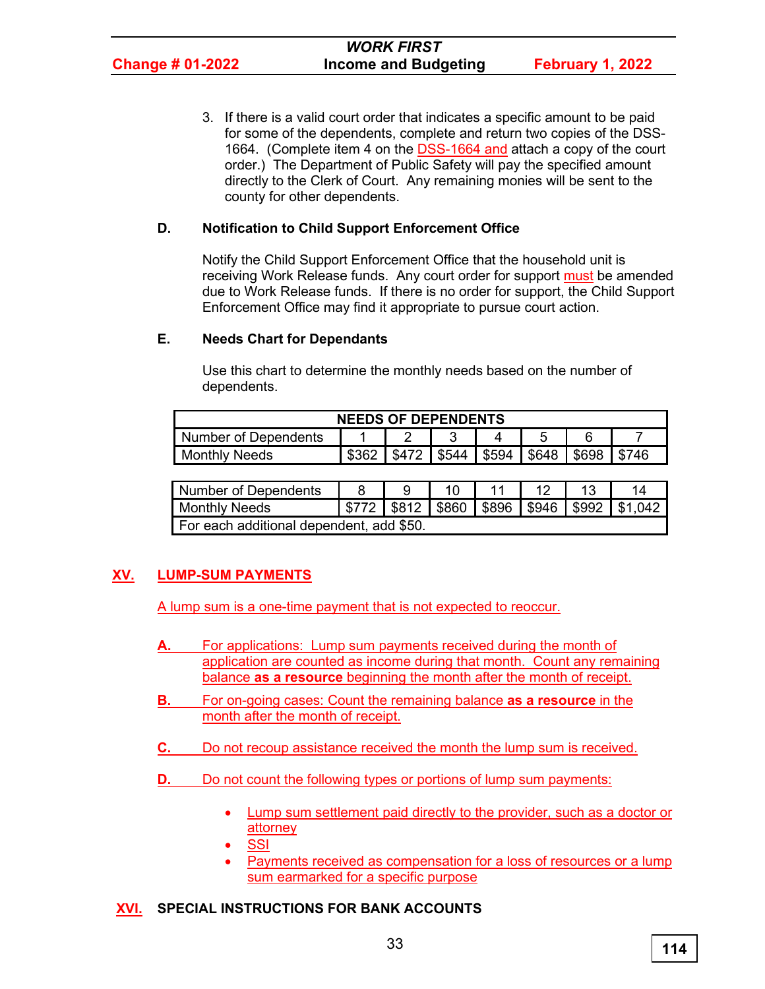3. If there is a valid court order that indicates a specific amount to be paid for some of the dependents, complete and return two copies of the DSS-1664. (Complete item 4 on the DSS-1664 and attach a copy of the court order.) The Department of Public Safety will pay the specified amount directly to the Clerk of Court. Any remaining monies will be sent to the county for other dependents.

## **D. Notification to Child Support Enforcement Office**

Notify the Child Support Enforcement Office that the household unit is receiving Work Release funds. Any court order for support must be amended due to Work Release funds. If there is no order for support, the Child Support Enforcement Office may find it appropriate to pursue court action.

#### **E. Needs Chart for Dependants**

Use this chart to determine the monthly needs based on the number of dependents.

| <b>NEEDS OF DEPENDENTS</b>                                              |  |  |  |  |  |  |  |  |  |
|-------------------------------------------------------------------------|--|--|--|--|--|--|--|--|--|
| Number of Dependents                                                    |  |  |  |  |  |  |  |  |  |
| \$544   \$594   \$648   \$698<br>\$472<br>\$746<br><b>Monthly Needs</b> |  |  |  |  |  |  |  |  |  |

| Number of Dependents                     |  | 10 |  |                                                         |
|------------------------------------------|--|----|--|---------------------------------------------------------|
| <b>Monthly Needs</b>                     |  |    |  | \$772   \$812   \$860   \$896   \$946   \$992   \$1,042 |
| For each additional dependent, add \$50. |  |    |  |                                                         |

# **XV. LUMP-SUM PAYMENTS**

A lump sum is a one-time payment that is not expected to reoccur.

- **A.** For applications: Lump sum payments received during the month of application are counted as income during that month. Count any remaining balance **as a resource** beginning the month after the month of receipt.
- **B.** For on-going cases: Count the remaining balance **as a resource** in the month after the month of receipt.
- **C.** Do not recoup assistance received the month the lump sum is received.
- **D.** Do not count the following types or portions of lump sum payments:
	- Lump sum settlement paid directly to the provider, such as a doctor or attorney
	- **SSI**
	- Payments received as compensation for a loss of resources or a lump sum earmarked for a specific purpose

# **XVI. SPECIAL INSTRUCTIONS FOR BANK ACCOUNTS**